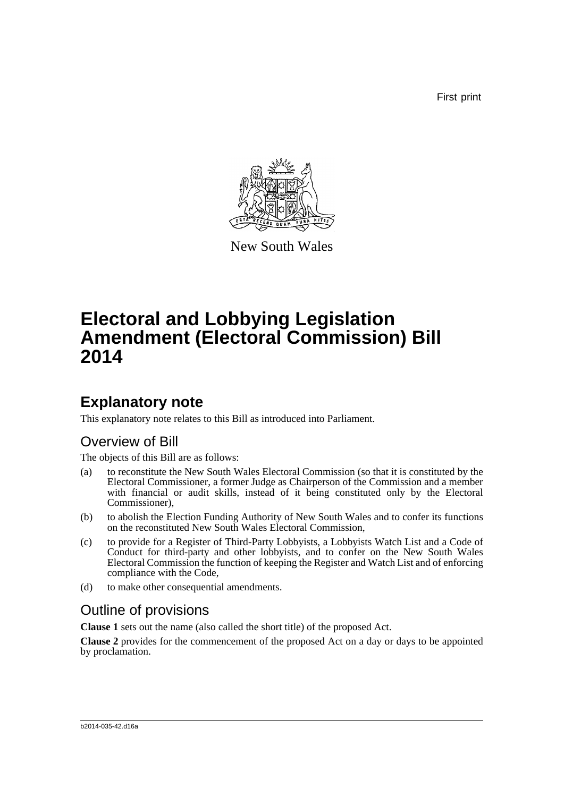First print



New South Wales

# **Electoral and Lobbying Legislation Amendment (Electoral Commission) Bill 2014**

## **Explanatory note**

This explanatory note relates to this Bill as introduced into Parliament.

## Overview of Bill

The objects of this Bill are as follows:

- (a) to reconstitute the New South Wales Electoral Commission (so that it is constituted by the Electoral Commissioner, a former Judge as Chairperson of the Commission and a member with financial or audit skills, instead of it being constituted only by the Electoral Commissioner),
- (b) to abolish the Election Funding Authority of New South Wales and to confer its functions on the reconstituted New South Wales Electoral Commission,
- (c) to provide for a Register of Third-Party Lobbyists, a Lobbyists Watch List and a Code of Conduct for third-party and other lobbyists, and to confer on the New South Wales Electoral Commission the function of keeping the Register and Watch List and of enforcing compliance with the Code,
- (d) to make other consequential amendments.

## Outline of provisions

**Clause 1** sets out the name (also called the short title) of the proposed Act.

**Clause 2** provides for the commencement of the proposed Act on a day or days to be appointed by proclamation.

#### b2014-035-42.d16a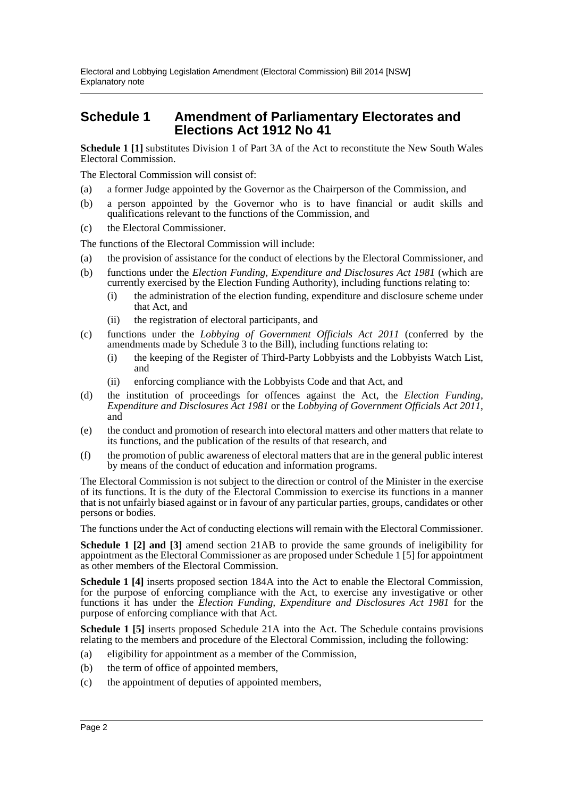### **Schedule 1 Amendment of Parliamentary Electorates and Elections Act 1912 No 41**

**Schedule 1 [1]** substitutes Division 1 of Part 3A of the Act to reconstitute the New South Wales Electoral Commission.

The Electoral Commission will consist of:

- (a) a former Judge appointed by the Governor as the Chairperson of the Commission, and
- (b) a person appointed by the Governor who is to have financial or audit skills and qualifications relevant to the functions of the Commission, and
- (c) the Electoral Commissioner.

The functions of the Electoral Commission will include:

- (a) the provision of assistance for the conduct of elections by the Electoral Commissioner, and
- (b) functions under the *Election Funding, Expenditure and Disclosures Act 1981* (which are currently exercised by the Election Funding Authority), including functions relating to:
	- (i) the administration of the election funding, expenditure and disclosure scheme under that Act, and
	- (ii) the registration of electoral participants, and
- (c) functions under the *Lobbying of Government Officials Act 2011* (conferred by the amendments made by Schedule 3 to the Bill), including functions relating to:
	- (i) the keeping of the Register of Third-Party Lobbyists and the Lobbyists Watch List, and
	- (ii) enforcing compliance with the Lobbyists Code and that Act, and
- (d) the institution of proceedings for offences against the Act, the *Election Funding, Expenditure and Disclosures Act 1981* or the *Lobbying of Government Officials Act 2011*, and
- (e) the conduct and promotion of research into electoral matters and other matters that relate to its functions, and the publication of the results of that research, and
- (f) the promotion of public awareness of electoral matters that are in the general public interest by means of the conduct of education and information programs.

The Electoral Commission is not subject to the direction or control of the Minister in the exercise of its functions. It is the duty of the Electoral Commission to exercise its functions in a manner that is not unfairly biased against or in favour of any particular parties, groups, candidates or other persons or bodies.

The functions under the Act of conducting elections will remain with the Electoral Commissioner.

**Schedule 1 [2] and [3]** amend section 21AB to provide the same grounds of ineligibility for appointment as the Electoral Commissioner as are proposed under Schedule 1 [5] for appointment as other members of the Electoral Commission.

**Schedule 1 [4]** inserts proposed section 184A into the Act to enable the Electoral Commission, for the purpose of enforcing compliance with the Act, to exercise any investigative or other functions it has under the *Election Funding, Expenditure and Disclosures Act 1981* for the purpose of enforcing compliance with that Act.

**Schedule 1 [5]** inserts proposed Schedule 21A into the Act. The Schedule contains provisions relating to the members and procedure of the Electoral Commission, including the following:

- (a) eligibility for appointment as a member of the Commission,
- (b) the term of office of appointed members,
- (c) the appointment of deputies of appointed members,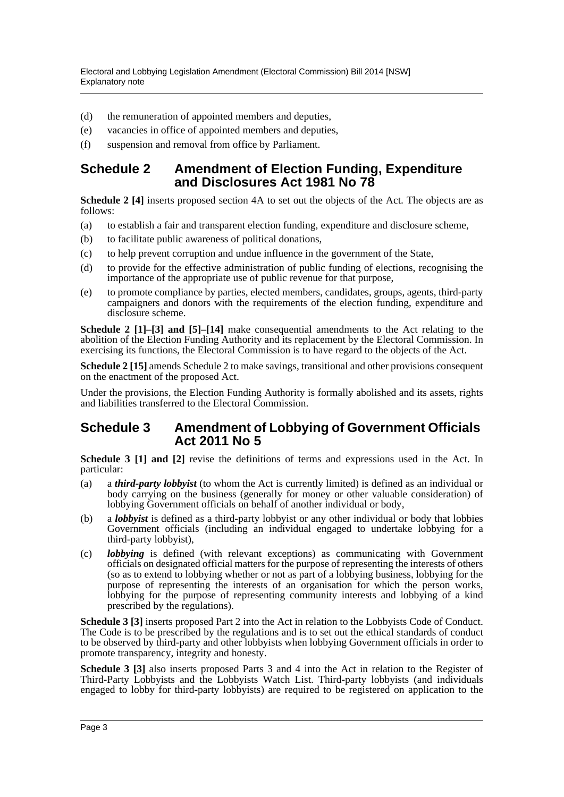- (d) the remuneration of appointed members and deputies,
- (e) vacancies in office of appointed members and deputies,
- (f) suspension and removal from office by Parliament.

## **Schedule 2 Amendment of Election Funding, Expenditure and Disclosures Act 1981 No 78**

**Schedule 2 [4]** inserts proposed section 4A to set out the objects of the Act. The objects are as follows:

- (a) to establish a fair and transparent election funding, expenditure and disclosure scheme,
- (b) to facilitate public awareness of political donations,
- (c) to help prevent corruption and undue influence in the government of the State,
- (d) to provide for the effective administration of public funding of elections, recognising the importance of the appropriate use of public revenue for that purpose,
- (e) to promote compliance by parties, elected members, candidates, groups, agents, third-party campaigners and donors with the requirements of the election funding, expenditure and disclosure scheme.

**Schedule 2 [1]–[3] and [5]–[14]** make consequential amendments to the Act relating to the abolition of the Election Funding Authority and its replacement by the Electoral Commission. In exercising its functions, the Electoral Commission is to have regard to the objects of the Act.

**Schedule 2 [15]** amends Schedule 2 to make savings, transitional and other provisions consequent on the enactment of the proposed Act.

Under the provisions, the Election Funding Authority is formally abolished and its assets, rights and liabilities transferred to the Electoral Commission.

### **Schedule 3 Amendment of Lobbying of Government Officials Act 2011 No 5**

**Schedule 3 [1] and [2]** revise the definitions of terms and expressions used in the Act. In particular:

- (a) a *third-party lobbyist* (to whom the Act is currently limited) is defined as an individual or body carrying on the business (generally for money or other valuable consideration) of lobbying Government officials on behalf of another individual or body,
- (b) a *lobbyist* is defined as a third-party lobbyist or any other individual or body that lobbies Government officials (including an individual engaged to undertake lobbying for a third-party lobbyist),
- (c) *lobbying* is defined (with relevant exceptions) as communicating with Government officials on designated official matters for the purpose of representing the interests of others (so as to extend to lobbying whether or not as part of a lobbying business, lobbying for the purpose of representing the interests of an organisation for which the person works, lobbying for the purpose of representing community interests and lobbying of a kind prescribed by the regulations).

**Schedule 3 [3]** inserts proposed Part 2 into the Act in relation to the Lobbyists Code of Conduct. The Code is to be prescribed by the regulations and is to set out the ethical standards of conduct to be observed by third-party and other lobbyists when lobbying Government officials in order to promote transparency, integrity and honesty.

**Schedule 3 [3]** also inserts proposed Parts 3 and 4 into the Act in relation to the Register of Third-Party Lobbyists and the Lobbyists Watch List. Third-party lobbyists (and individuals engaged to lobby for third-party lobbyists) are required to be registered on application to the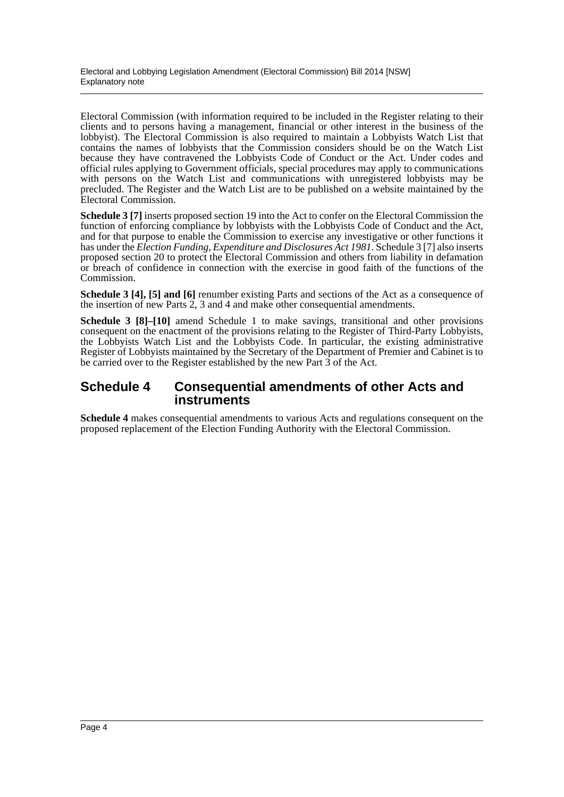Electoral Commission (with information required to be included in the Register relating to their clients and to persons having a management, financial or other interest in the business of the lobbyist). The Electoral Commission is also required to maintain a Lobbyists Watch List that contains the names of lobbyists that the Commission considers should be on the Watch List because they have contravened the Lobbyists Code of Conduct or the Act. Under codes and official rules applying to Government officials, special procedures may apply to communications with persons on the Watch List and communications with unregistered lobbyists may be precluded. The Register and the Watch List are to be published on a website maintained by the Electoral Commission.

**Schedule 3** [7] inserts proposed section 19 into the Act to confer on the Electoral Commission the function of enforcing compliance by lobbyists with the Lobbyists Code of Conduct and the Act, and for that purpose to enable the Commission to exercise any investigative or other functions it has under the *Election Funding, Expenditure and Disclosures Act 1981*. Schedule 3 [7] also inserts proposed section 20 to protect the Electoral Commission and others from liability in defamation or breach of confidence in connection with the exercise in good faith of the functions of the Commission.

**Schedule 3 [4], [5] and [6]** renumber existing Parts and sections of the Act as a consequence of the insertion of new Parts 2, 3 and 4 and make other consequential amendments.

**Schedule 3 [8]–[10]** amend Schedule 1 to make savings, transitional and other provisions consequent on the enactment of the provisions relating to the Register of Third-Party Lobbyists, the Lobbyists Watch List and the Lobbyists Code. In particular, the existing administrative Register of Lobbyists maintained by the Secretary of the Department of Premier and Cabinet is to be carried over to the Register established by the new Part 3 of the Act.

## **Schedule 4 Consequential amendments of other Acts and instruments**

**Schedule 4** makes consequential amendments to various Acts and regulations consequent on the proposed replacement of the Election Funding Authority with the Electoral Commission.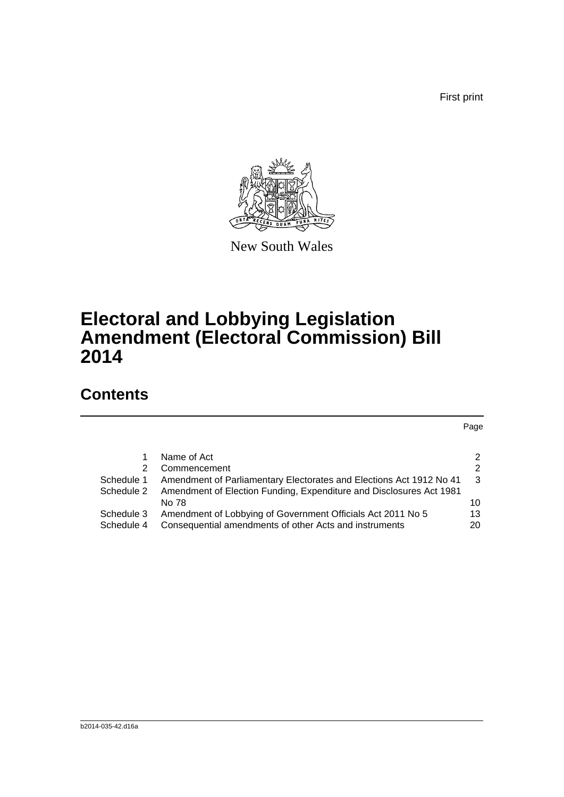First print



New South Wales

# **Electoral and Lobbying Legislation Amendment (Electoral Commission) Bill 2014**

## **Contents**

Page

|            | Name of Act                                                         | $\mathcal{P}$ |
|------------|---------------------------------------------------------------------|---------------|
| 2.         | Commencement                                                        | $\mathcal{P}$ |
| Schedule 1 | Amendment of Parliamentary Electorates and Elections Act 1912 No 41 | -3            |
| Schedule 2 | Amendment of Election Funding, Expenditure and Disclosures Act 1981 |               |
|            | No 78                                                               | 10            |
| Schedule 3 | Amendment of Lobbying of Government Officials Act 2011 No 5         | 13            |
| Schedule 4 | Consequential amendments of other Acts and instruments              | 20            |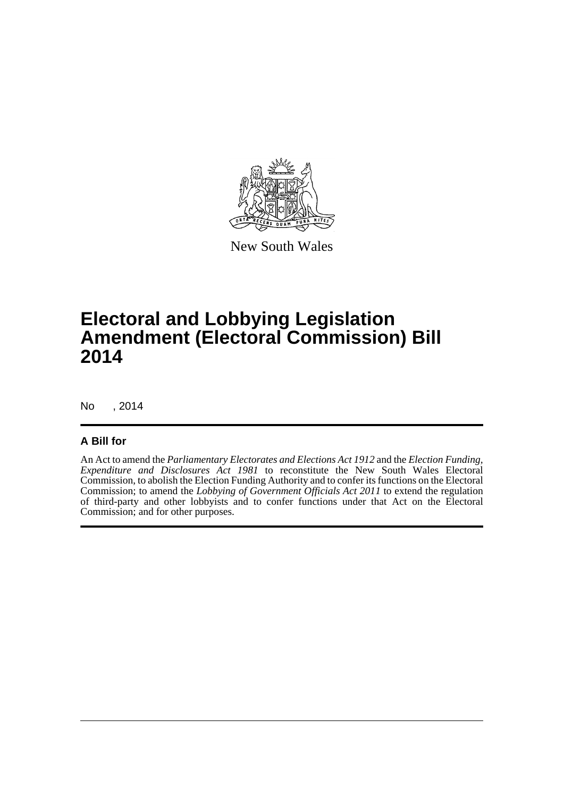

New South Wales

# **Electoral and Lobbying Legislation Amendment (Electoral Commission) Bill 2014**

No , 2014

### **A Bill for**

An Act to amend the *Parliamentary Electorates and Elections Act 1912* and the *Election Funding, Expenditure and Disclosures Act 1981* to reconstitute the New South Wales Electoral Commission, to abolish the Election Funding Authority and to confer its functions on the Electoral Commission; to amend the *Lobbying of Government Officials Act 2011* to extend the regulation of third-party and other lobbyists and to confer functions under that Act on the Electoral Commission; and for other purposes.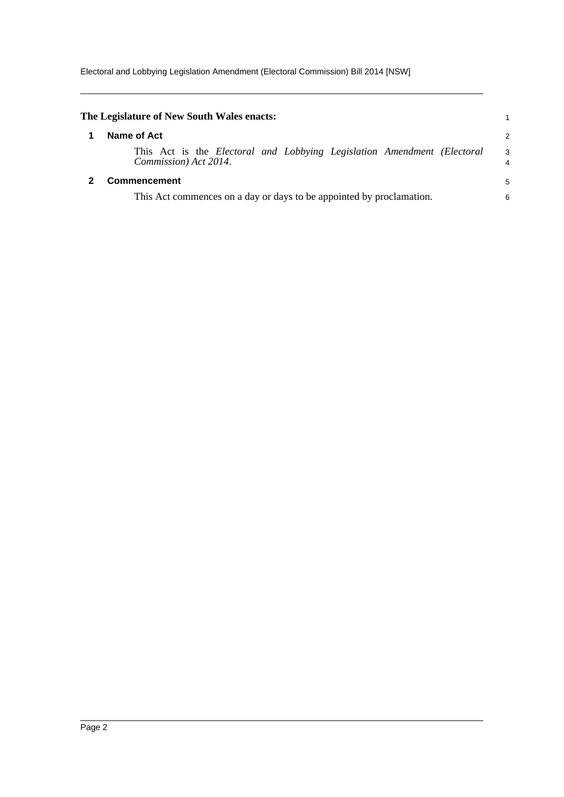<span id="page-6-1"></span><span id="page-6-0"></span>

| The Legislature of New South Wales enacts:                                                       |                     |
|--------------------------------------------------------------------------------------------------|---------------------|
| Name of Act                                                                                      | $\overline{2}$      |
| This Act is the Electoral and Lobbying Legislation Amendment (Electoral<br>Commission) Act 2014. | 3<br>$\overline{4}$ |
| Commencement                                                                                     | 5                   |
| This Act commences on a day or days to be appointed by proclamation.                             | 6                   |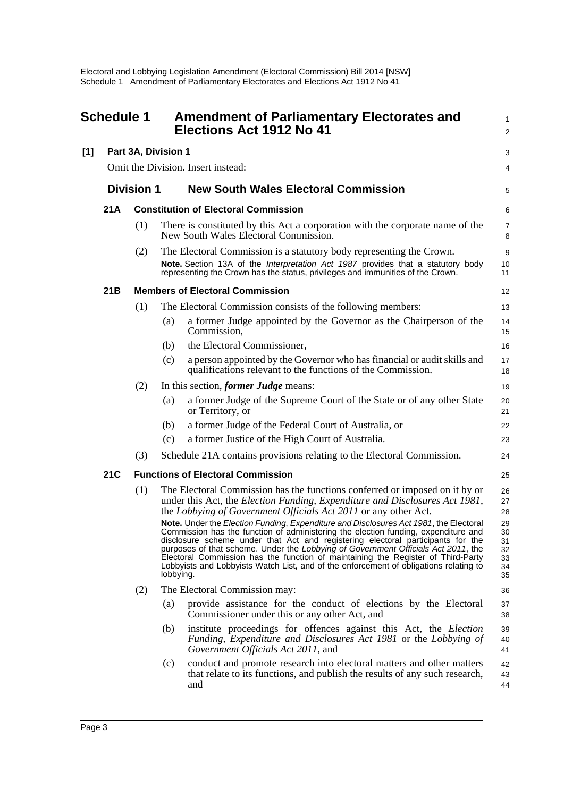<span id="page-7-0"></span>

|     | <b>Schedule 1</b> |                     |           | <b>Amendment of Parliamentary Electorates and</b><br>Elections Act 1912 No 41                                                                                                                                                                                                                                                                                                                                                                                                                                                    | 1<br>$\overline{\mathbf{c}}$           |
|-----|-------------------|---------------------|-----------|----------------------------------------------------------------------------------------------------------------------------------------------------------------------------------------------------------------------------------------------------------------------------------------------------------------------------------------------------------------------------------------------------------------------------------------------------------------------------------------------------------------------------------|----------------------------------------|
| [1] |                   | Part 3A, Division 1 |           |                                                                                                                                                                                                                                                                                                                                                                                                                                                                                                                                  | 3                                      |
|     |                   |                     |           | Omit the Division. Insert instead:                                                                                                                                                                                                                                                                                                                                                                                                                                                                                               | 4                                      |
|     | <b>Division 1</b> |                     |           | <b>New South Wales Electoral Commission</b>                                                                                                                                                                                                                                                                                                                                                                                                                                                                                      | 5                                      |
|     | 21 A              |                     |           | <b>Constitution of Electoral Commission</b>                                                                                                                                                                                                                                                                                                                                                                                                                                                                                      | 6                                      |
|     |                   | (1)                 |           | There is constituted by this Act a corporation with the corporate name of the<br>New South Wales Electoral Commission.                                                                                                                                                                                                                                                                                                                                                                                                           | 7<br>8                                 |
|     |                   | (2)                 |           | The Electoral Commission is a statutory body representing the Crown.                                                                                                                                                                                                                                                                                                                                                                                                                                                             | 9                                      |
|     |                   |                     |           | Note. Section 13A of the Interpretation Act 1987 provides that a statutory body<br>representing the Crown has the status, privileges and immunities of the Crown.                                                                                                                                                                                                                                                                                                                                                                | 10<br>11                               |
|     | 21 <sub>B</sub>   |                     |           | <b>Members of Electoral Commission</b>                                                                                                                                                                                                                                                                                                                                                                                                                                                                                           | 12                                     |
|     |                   | (1)                 |           | The Electoral Commission consists of the following members:                                                                                                                                                                                                                                                                                                                                                                                                                                                                      | 13                                     |
|     |                   |                     | (a)       | a former Judge appointed by the Governor as the Chairperson of the<br>Commission,                                                                                                                                                                                                                                                                                                                                                                                                                                                | 14<br>15                               |
|     |                   |                     | (b)       | the Electoral Commissioner,                                                                                                                                                                                                                                                                                                                                                                                                                                                                                                      | 16                                     |
|     |                   |                     | (c)       | a person appointed by the Governor who has financial or audit skills and<br>qualifications relevant to the functions of the Commission.                                                                                                                                                                                                                                                                                                                                                                                          | 17<br>18                               |
|     |                   | (2)                 |           | In this section, <i>former Judge</i> means:                                                                                                                                                                                                                                                                                                                                                                                                                                                                                      | 19                                     |
|     |                   |                     | (a)       | a former Judge of the Supreme Court of the State or of any other State<br>or Territory, or                                                                                                                                                                                                                                                                                                                                                                                                                                       | 20<br>21                               |
|     |                   |                     | (b)       | a former Judge of the Federal Court of Australia, or                                                                                                                                                                                                                                                                                                                                                                                                                                                                             | 22                                     |
|     |                   |                     | (c)       | a former Justice of the High Court of Australia.                                                                                                                                                                                                                                                                                                                                                                                                                                                                                 | 23                                     |
|     |                   | (3)                 |           | Schedule 21A contains provisions relating to the Electoral Commission.                                                                                                                                                                                                                                                                                                                                                                                                                                                           | 24                                     |
|     | 21C               |                     |           | <b>Functions of Electoral Commission</b>                                                                                                                                                                                                                                                                                                                                                                                                                                                                                         | 25                                     |
|     |                   | (1)                 |           | The Electoral Commission has the functions conferred or imposed on it by or<br>under this Act, the Election Funding, Expenditure and Disclosures Act 1981,<br>the Lobbying of Government Officials Act 2011 or any other Act.                                                                                                                                                                                                                                                                                                    | 26<br>27<br>28                         |
|     |                   |                     | lobbying. | Note. Under the Election Funding, Expenditure and Disclosures Act 1981, the Electoral<br>Commission has the function of administering the election funding, expenditure and<br>disclosure scheme under that Act and registering electoral participants for the<br>purposes of that scheme. Under the Lobbying of Government Officials Act 2011, the<br>Electoral Commission has the function of maintaining the Register of Third-Party<br>Lobbyists and Lobbyists Watch List, and of the enforcement of obligations relating to | 29<br>30<br>31<br>32<br>33<br>34<br>35 |
|     |                   | (2)                 |           | The Electoral Commission may:                                                                                                                                                                                                                                                                                                                                                                                                                                                                                                    | 36                                     |
|     |                   |                     | (a)       | provide assistance for the conduct of elections by the Electoral<br>Commissioner under this or any other Act, and                                                                                                                                                                                                                                                                                                                                                                                                                | 37<br>38                               |
|     |                   |                     | (b)       | institute proceedings for offences against this Act, the Election<br>Funding, Expenditure and Disclosures Act 1981 or the Lobbying of<br>Government Officials Act 2011, and                                                                                                                                                                                                                                                                                                                                                      | 39<br>40<br>41                         |
|     |                   |                     | (c)       | conduct and promote research into electoral matters and other matters<br>that relate to its functions, and publish the results of any such research,<br>and                                                                                                                                                                                                                                                                                                                                                                      | 42<br>43<br>44                         |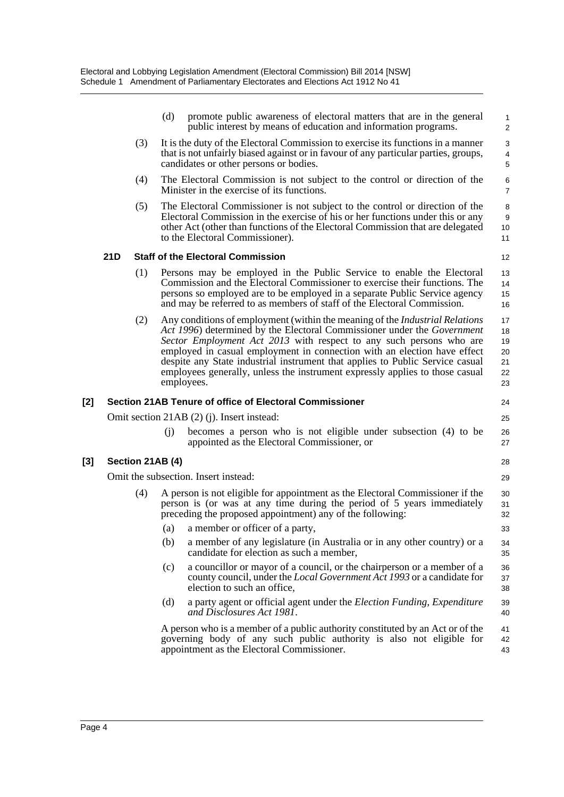|     |     |                  | (d) | promote public awareness of electoral matters that are in the general<br>public interest by means of education and information programs.                                                                                                                                                                                                                                                                                                                                                         | $\mathbf{1}$<br>$\overline{c}$             |
|-----|-----|------------------|-----|--------------------------------------------------------------------------------------------------------------------------------------------------------------------------------------------------------------------------------------------------------------------------------------------------------------------------------------------------------------------------------------------------------------------------------------------------------------------------------------------------|--------------------------------------------|
|     |     | (3)              |     | It is the duty of the Electoral Commission to exercise its functions in a manner<br>that is not unfairly biased against or in favour of any particular parties, groups,<br>candidates or other persons or bodies.                                                                                                                                                                                                                                                                                | 3<br>4<br>$\mathbf 5$                      |
|     |     | (4)              |     | The Electoral Commission is not subject to the control or direction of the<br>Minister in the exercise of its functions.                                                                                                                                                                                                                                                                                                                                                                         | $\,6$<br>$\overline{7}$                    |
|     |     | (5)              |     | The Electoral Commissioner is not subject to the control or direction of the<br>Electoral Commission in the exercise of his or her functions under this or any<br>other Act (other than functions of the Electoral Commission that are delegated<br>to the Electoral Commissioner).                                                                                                                                                                                                              | 8<br>$9\,$<br>10<br>11                     |
|     | 21D |                  |     | <b>Staff of the Electoral Commission</b>                                                                                                                                                                                                                                                                                                                                                                                                                                                         | 12                                         |
|     |     | (1)              |     | Persons may be employed in the Public Service to enable the Electoral<br>Commission and the Electoral Commissioner to exercise their functions. The<br>persons so employed are to be employed in a separate Public Service agency<br>and may be referred to as members of staff of the Electoral Commission.                                                                                                                                                                                     | 13<br>14<br>15<br>16                       |
|     |     | (2)              |     | Any conditions of employment (within the meaning of the <i>Industrial Relations</i><br>Act 1996) determined by the Electoral Commissioner under the Government<br>Sector Employment Act 2013 with respect to any such persons who are<br>employed in casual employment in connection with an election have effect<br>despite any State industrial instrument that applies to Public Service casual<br>employees generally, unless the instrument expressly applies to those casual<br>employees. | 17<br>18<br>19<br>$20\,$<br>21<br>22<br>23 |
| [2] |     |                  |     | <b>Section 21AB Tenure of office of Electoral Commissioner</b>                                                                                                                                                                                                                                                                                                                                                                                                                                   | 24                                         |
|     |     |                  |     | Omit section 21AB (2) (j). Insert instead:                                                                                                                                                                                                                                                                                                                                                                                                                                                       | 25                                         |
|     |     |                  | (i) | becomes a person who is not eligible under subsection (4) to be<br>appointed as the Electoral Commissioner, or                                                                                                                                                                                                                                                                                                                                                                                   | 26<br>27                                   |
| [3] |     | Section 21AB (4) |     |                                                                                                                                                                                                                                                                                                                                                                                                                                                                                                  | 28                                         |
|     |     |                  |     | Omit the subsection. Insert instead:                                                                                                                                                                                                                                                                                                                                                                                                                                                             | 29                                         |
|     |     | (4)              |     | A person is not eligible for appointment as the Electoral Commissioner if the<br>person is (or was at any time during the period of 5 years immediately<br>preceding the proposed appointment) any of the following:                                                                                                                                                                                                                                                                             | 30<br>31<br>32                             |
|     |     |                  | (a) | a member or officer of a party,                                                                                                                                                                                                                                                                                                                                                                                                                                                                  | 33                                         |
|     |     |                  | (b) | a member of any legislature (in Australia or in any other country) or a<br>candidate for election as such a member,                                                                                                                                                                                                                                                                                                                                                                              | 34<br>35                                   |
|     |     |                  | (c) | a councillor or mayor of a council, or the chairperson or a member of a<br>county council, under the Local Government Act 1993 or a candidate for<br>election to such an office,                                                                                                                                                                                                                                                                                                                 | 36<br>37<br>38                             |
|     |     |                  | (d) | a party agent or official agent under the Election Funding, Expenditure<br>and Disclosures Act 1981.                                                                                                                                                                                                                                                                                                                                                                                             | 39<br>40                                   |
|     |     |                  |     | A person who is a member of a public authority constituted by an Act or of the<br>governing body of any such public authority is also not eligible for<br>appointment as the Electoral Commissioner.                                                                                                                                                                                                                                                                                             | 41<br>42<br>43                             |

[3]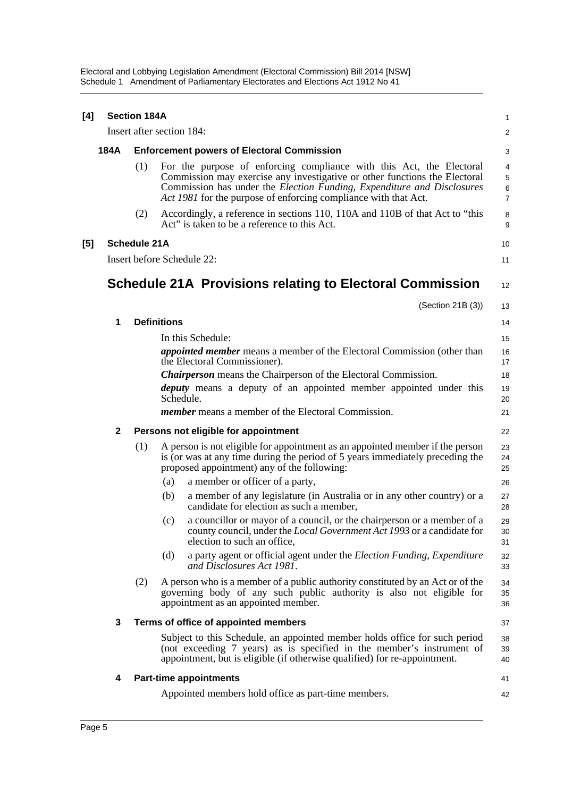Electoral and Lobbying Legislation Amendment (Electoral Commission) Bill 2014 [NSW] Schedule 1 Amendment of Parliamentary Electorates and Elections Act 1912 No 41

| [4] |              | <b>Section 184A</b>       |                    |                                                                                                                                                                                                                                                                                                 | 1                                                    |
|-----|--------------|---------------------------|--------------------|-------------------------------------------------------------------------------------------------------------------------------------------------------------------------------------------------------------------------------------------------------------------------------------------------|------------------------------------------------------|
|     |              | Insert after section 184: |                    |                                                                                                                                                                                                                                                                                                 | 2                                                    |
|     | 184A         |                           |                    | <b>Enforcement powers of Electoral Commission</b>                                                                                                                                                                                                                                               | 3                                                    |
|     |              | (1)                       |                    | For the purpose of enforcing compliance with this Act, the Electoral<br>Commission may exercise any investigative or other functions the Electoral<br>Commission has under the Election Funding, Expenditure and Disclosures<br>Act 1981 for the purpose of enforcing compliance with that Act. | $\overline{4}$<br>$\mathbf 5$<br>6<br>$\overline{7}$ |
|     |              | (2)                       |                    | Accordingly, a reference in sections 110, 110A and 110B of that Act to "this<br>Act" is taken to be a reference to this Act.                                                                                                                                                                    | 8<br>9                                               |
| [5] |              | <b>Schedule 21A</b>       |                    |                                                                                                                                                                                                                                                                                                 | 10                                                   |
|     |              |                           |                    | Insert before Schedule 22:                                                                                                                                                                                                                                                                      | 11                                                   |
|     |              |                           |                    | <b>Schedule 21A Provisions relating to Electoral Commission</b>                                                                                                                                                                                                                                 | 12                                                   |
|     |              |                           |                    | (Section 21B (3))                                                                                                                                                                                                                                                                               | 13                                                   |
|     | 1            |                           | <b>Definitions</b> |                                                                                                                                                                                                                                                                                                 | 14                                                   |
|     |              |                           |                    | In this Schedule:                                                                                                                                                                                                                                                                               | 15                                                   |
|     |              |                           |                    | <i>appointed member</i> means a member of the Electoral Commission (other than<br>the Electoral Commissioner).                                                                                                                                                                                  | 16<br>17                                             |
|     |              |                           |                    | <b>Chairperson</b> means the Chairperson of the Electoral Commission.                                                                                                                                                                                                                           | 18                                                   |
|     |              |                           |                    | deputy means a deputy of an appointed member appointed under this<br>Schedule.                                                                                                                                                                                                                  | 19<br>20                                             |
|     |              |                           |                    | <i>member</i> means a member of the Electoral Commission.                                                                                                                                                                                                                                       | 21                                                   |
|     | $\mathbf{2}$ |                           |                    | Persons not eligible for appointment                                                                                                                                                                                                                                                            | 22                                                   |
|     |              | (1)                       |                    | A person is not eligible for appointment as an appointed member if the person<br>is (or was at any time during the period of 5 years immediately preceding the<br>proposed appointment) any of the following:                                                                                   | 23<br>24<br>25                                       |
|     |              |                           | (a)                | a member or officer of a party,                                                                                                                                                                                                                                                                 | 26                                                   |
|     |              |                           | (b)                | a member of any legislature (in Australia or in any other country) or a<br>candidate for election as such a member,                                                                                                                                                                             | 27<br>28                                             |
|     |              |                           | (c)                | a councillor or mayor of a council, or the chairperson or a member of a<br>county council, under the Local Government Act 1993 or a candidate for<br>election to such an office,                                                                                                                | 29<br>30<br>31                                       |
|     |              |                           | (d)                | a party agent or official agent under the Election Funding, Expenditure<br>and Disclosures Act 1981.                                                                                                                                                                                            | 32<br>33                                             |
|     |              | (2)                       |                    | A person who is a member of a public authority constituted by an Act or of the<br>governing body of any such public authority is also not eligible for<br>appointment as an appointed member.                                                                                                   | 34<br>35<br>36                                       |
|     | 3            |                           |                    | Terms of office of appointed members                                                                                                                                                                                                                                                            | 37                                                   |
|     |              |                           |                    | Subject to this Schedule, an appointed member holds office for such period<br>(not exceeding 7 years) as is specified in the member's instrument of<br>appointment, but is eligible (if otherwise qualified) for re-appointment.                                                                | 38<br>39<br>40                                       |
|     | 4            |                           |                    | <b>Part-time appointments</b>                                                                                                                                                                                                                                                                   | 41                                                   |
|     |              |                           |                    | Appointed members hold office as part-time members.                                                                                                                                                                                                                                             | 42                                                   |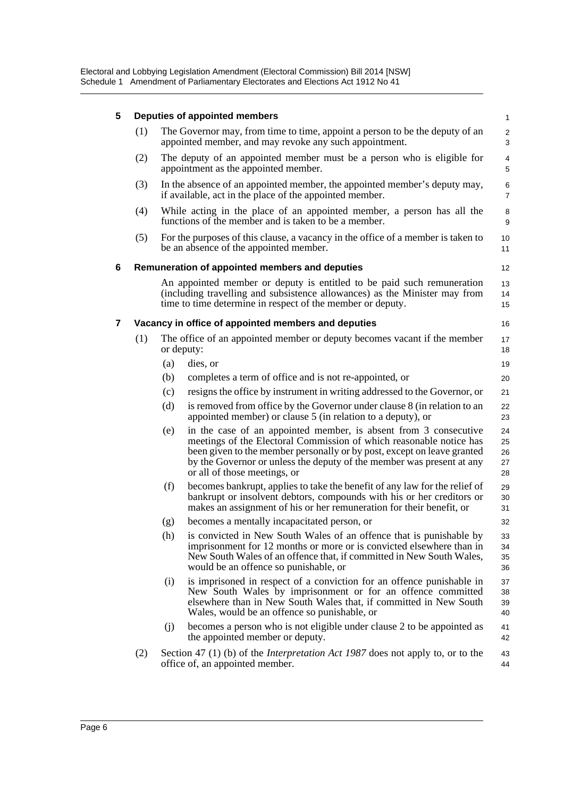### **5 Deputies of appointed members**

| The Governor may, from time to time, appoint a person to be the deputy of an |  |
|------------------------------------------------------------------------------|--|
| appointed member, and may revoke any such appointment.                       |  |

16

20 21

- (2) The deputy of an appointed member must be a person who is eligible for appointment as the appointed member.
- (3) In the absence of an appointed member, the appointed member's deputy may, if available, act in the place of the appointed member.
- (4) While acting in the place of an appointed member, a person has all the functions of the member and is taken to be a member.
- (5) For the purposes of this clause, a vacancy in the office of a member is taken to be an absence of the appointed member.

#### **6 Remuneration of appointed members and deputies**

An appointed member or deputy is entitled to be paid such remuneration (including travelling and subsistence allowances) as the Minister may from time to time determine in respect of the member or deputy.

#### **7 Vacancy in office of appointed members and deputies**

| (1) | The office of an appointed member or deputy becomes vacant if the member | 17 |
|-----|--------------------------------------------------------------------------|----|
|     | or deputy:                                                               |    |
|     | $(a)$ dies, or                                                           |    |

- (b) completes a term of office and is not re-appointed, or
- (c) resigns the office by instrument in writing addressed to the Governor, or
- (d) is removed from office by the Governor under clause 8 (in relation to an appointed member) or clause 5 (in relation to a deputy), or 22 23
- (e) in the case of an appointed member, is absent from 3 consecutive meetings of the Electoral Commission of which reasonable notice has been given to the member personally or by post, except on leave granted by the Governor or unless the deputy of the member was present at any or all of those meetings, or 24 25 26 27 28
- (f) becomes bankrupt, applies to take the benefit of any law for the relief of bankrupt or insolvent debtors, compounds with his or her creditors or makes an assignment of his or her remuneration for their benefit, or
- (g) becomes a mentally incapacitated person, or
- (h) is convicted in New South Wales of an offence that is punishable by imprisonment for 12 months or more or is convicted elsewhere than in New South Wales of an offence that, if committed in New South Wales, would be an offence so punishable, or 33  $34$ 35 36
- (i) is imprisoned in respect of a conviction for an offence punishable in New South Wales by imprisonment or for an offence committed elsewhere than in New South Wales that, if committed in New South Wales, would be an offence so punishable, or 37 38 39 40
- (j) becomes a person who is not eligible under clause 2 to be appointed as the appointed member or deputy. 41 42
- (2) Section 47 (1) (b) of the *Interpretation Act 1987* does not apply to, or to the office of, an appointed member. 43 44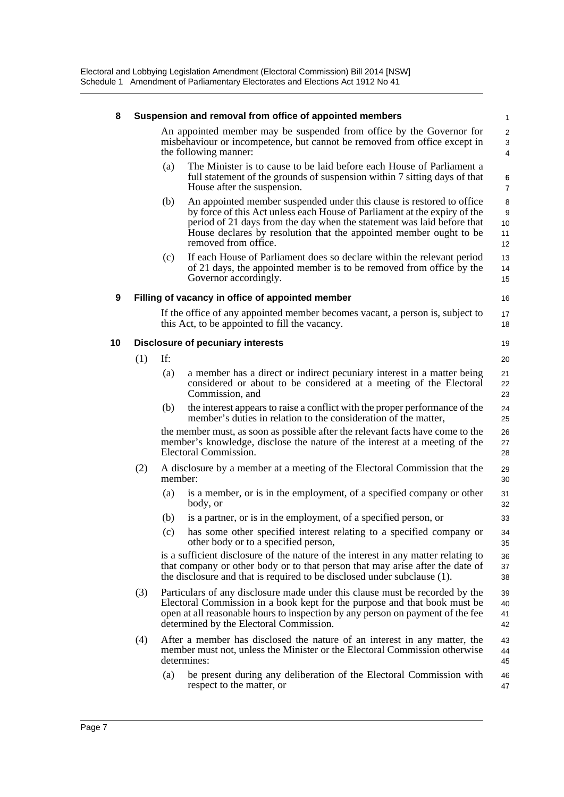| 8  |     |         | Suspension and removal from office of appointed members                                                                                                                                                                                                                                                                    | $\mathbf{1}$             |
|----|-----|---------|----------------------------------------------------------------------------------------------------------------------------------------------------------------------------------------------------------------------------------------------------------------------------------------------------------------------------|--------------------------|
|    |     |         | An appointed member may be suspended from office by the Governor for<br>misbehaviour or incompetence, but cannot be removed from office except in<br>the following manner:                                                                                                                                                 | 2<br>3<br>4              |
|    |     | (a)     | The Minister is to cause to be laid before each House of Parliament a<br>full statement of the grounds of suspension within 7 sitting days of that<br>House after the suspension.                                                                                                                                          | 6<br>7                   |
|    |     | (b)     | An appointed member suspended under this clause is restored to office<br>by force of this Act unless each House of Parliament at the expiry of the<br>period of 21 days from the day when the statement was laid before that<br>House declares by resolution that the appointed member ought to be<br>removed from office. | 8<br>9<br>10<br>11<br>12 |
|    |     | (c)     | If each House of Parliament does so declare within the relevant period<br>of 21 days, the appointed member is to be removed from office by the<br>Governor accordingly.                                                                                                                                                    | 13<br>14<br>15           |
| 9  |     |         | Filling of vacancy in office of appointed member                                                                                                                                                                                                                                                                           | 16                       |
|    |     |         | If the office of any appointed member becomes vacant, a person is, subject to<br>this Act, to be appointed to fill the vacancy.                                                                                                                                                                                            | 17<br>18                 |
| 10 |     |         | <b>Disclosure of pecuniary interests</b>                                                                                                                                                                                                                                                                                   | 19                       |
|    | (1) | If:     |                                                                                                                                                                                                                                                                                                                            | 20                       |
|    |     | (a)     | a member has a direct or indirect pecuniary interest in a matter being<br>considered or about to be considered at a meeting of the Electoral<br>Commission, and                                                                                                                                                            | 21<br>22<br>23           |
|    |     | (b)     | the interest appears to raise a conflict with the proper performance of the<br>member's duties in relation to the consideration of the matter,                                                                                                                                                                             | 24<br>25                 |
|    |     |         | the member must, as soon as possible after the relevant facts have come to the<br>member's knowledge, disclose the nature of the interest at a meeting of the<br>Electoral Commission.                                                                                                                                     | 26<br>27<br>28           |
|    | (2) | member: | A disclosure by a member at a meeting of the Electoral Commission that the                                                                                                                                                                                                                                                 | 29<br>30                 |
|    |     | (a)     | is a member, or is in the employment, of a specified company or other<br>body, or                                                                                                                                                                                                                                          | 31<br>32                 |
|    |     | (b)     | is a partner, or is in the employment, of a specified person, or                                                                                                                                                                                                                                                           | 33                       |
|    |     | (c)     | has some other specified interest relating to a specified company or<br>other body or to a specified person,                                                                                                                                                                                                               | 34<br>35                 |
|    |     |         | is a sufficient disclosure of the nature of the interest in any matter relating to<br>that company or other body or to that person that may arise after the date of<br>the disclosure and that is required to be disclosed under subclause (1).                                                                            | 36<br>37<br>38           |
|    | (3) |         | Particulars of any disclosure made under this clause must be recorded by the<br>Electoral Commission in a book kept for the purpose and that book must be<br>open at all reasonable hours to inspection by any person on payment of the fee<br>determined by the Electoral Commission.                                     | 39<br>40<br>41<br>42     |
|    | (4) |         | After a member has disclosed the nature of an interest in any matter, the<br>member must not, unless the Minister or the Electoral Commission otherwise<br>determines:                                                                                                                                                     | 43<br>44<br>45           |
|    |     | (a)     | be present during any deliberation of the Electoral Commission with<br>respect to the matter, or                                                                                                                                                                                                                           | 46<br>47                 |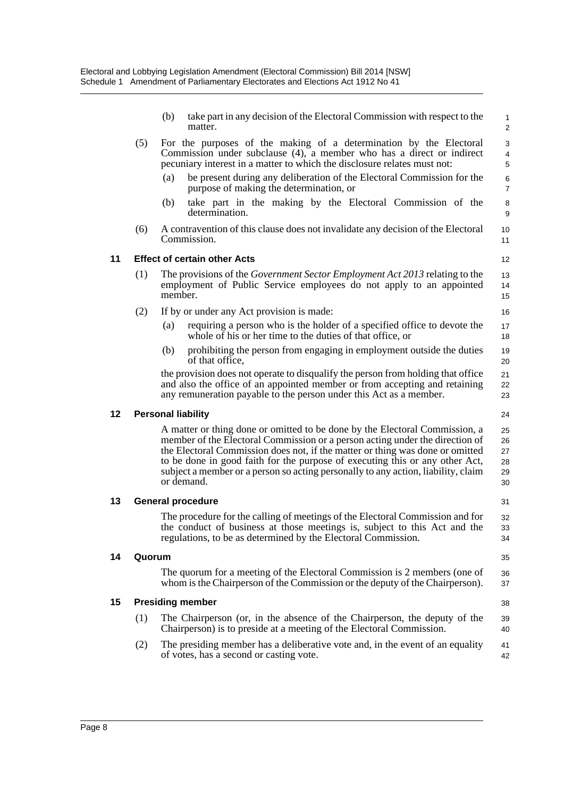|    |        | take part in any decision of the Electoral Commission with respect to the<br>(b)<br>matter.                                                                                                                                                                                                                                                                                                                                     | $\mathbf{1}$<br>$\overline{2}$   |
|----|--------|---------------------------------------------------------------------------------------------------------------------------------------------------------------------------------------------------------------------------------------------------------------------------------------------------------------------------------------------------------------------------------------------------------------------------------|----------------------------------|
|    | (5)    | For the purposes of the making of a determination by the Electoral<br>Commission under subclause (4), a member who has a direct or indirect<br>pecuniary interest in a matter to which the disclosure relates must not:                                                                                                                                                                                                         | 3<br>4<br>5                      |
|    |        | (a)<br>be present during any deliberation of the Electoral Commission for the<br>purpose of making the determination, or                                                                                                                                                                                                                                                                                                        | 6<br>$\overline{7}$              |
|    |        | take part in the making by the Electoral Commission of the<br>(b)<br>determination.                                                                                                                                                                                                                                                                                                                                             | 8<br>9                           |
|    | (6)    | A contravention of this clause does not invalidate any decision of the Electoral<br>Commission.                                                                                                                                                                                                                                                                                                                                 | 10<br>11                         |
| 11 |        | <b>Effect of certain other Acts</b>                                                                                                                                                                                                                                                                                                                                                                                             | 12                               |
|    | (1)    | The provisions of the <i>Government Sector Employment Act 2013</i> relating to the<br>employment of Public Service employees do not apply to an appointed<br>member.                                                                                                                                                                                                                                                            | 13<br>14<br>15                   |
|    | (2)    | If by or under any Act provision is made:                                                                                                                                                                                                                                                                                                                                                                                       | 16                               |
|    |        | (a)<br>requiring a person who is the holder of a specified office to devote the<br>whole of his or her time to the duties of that office, or                                                                                                                                                                                                                                                                                    | 17<br>18                         |
|    |        | prohibiting the person from engaging in employment outside the duties<br>(b)<br>of that office.                                                                                                                                                                                                                                                                                                                                 | 19<br>20                         |
|    |        | the provision does not operate to disqualify the person from holding that office<br>and also the office of an appointed member or from accepting and retaining<br>any remuneration payable to the person under this Act as a member.                                                                                                                                                                                            | 21<br>22<br>23                   |
| 12 |        | <b>Personal liability</b>                                                                                                                                                                                                                                                                                                                                                                                                       | 24                               |
|    |        | A matter or thing done or omitted to be done by the Electoral Commission, a<br>member of the Electoral Commission or a person acting under the direction of<br>the Electoral Commission does not, if the matter or thing was done or omitted<br>to be done in good faith for the purpose of executing this or any other Act,<br>subject a member or a person so acting personally to any action, liability, claim<br>or demand. | 25<br>26<br>27<br>28<br>29<br>30 |
| 13 |        | <b>General procedure</b>                                                                                                                                                                                                                                                                                                                                                                                                        | 31                               |
|    |        | The procedure for the calling of meetings of the Electoral Commission and for<br>the conduct of business at those meetings is, subject to this Act and the<br>regulations, to be as determined by the Electoral Commission.                                                                                                                                                                                                     | 32<br>33<br>34                   |
| 14 | Quorum |                                                                                                                                                                                                                                                                                                                                                                                                                                 | 35                               |
|    |        | The quorum for a meeting of the Electoral Commission is 2 members (one of<br>whom is the Chairperson of the Commission or the deputy of the Chairperson).                                                                                                                                                                                                                                                                       | 36<br>37                         |
| 15 |        | <b>Presiding member</b>                                                                                                                                                                                                                                                                                                                                                                                                         | 38                               |
|    | (1)    | The Chairperson (or, in the absence of the Chairperson, the deputy of the<br>Chairperson) is to preside at a meeting of the Electoral Commission.                                                                                                                                                                                                                                                                               | 39<br>40                         |
|    | (2)    | The presiding member has a deliberative vote and, in the event of an equality<br>of votes, has a second or casting vote.                                                                                                                                                                                                                                                                                                        | 41<br>42                         |
|    |        |                                                                                                                                                                                                                                                                                                                                                                                                                                 |                                  |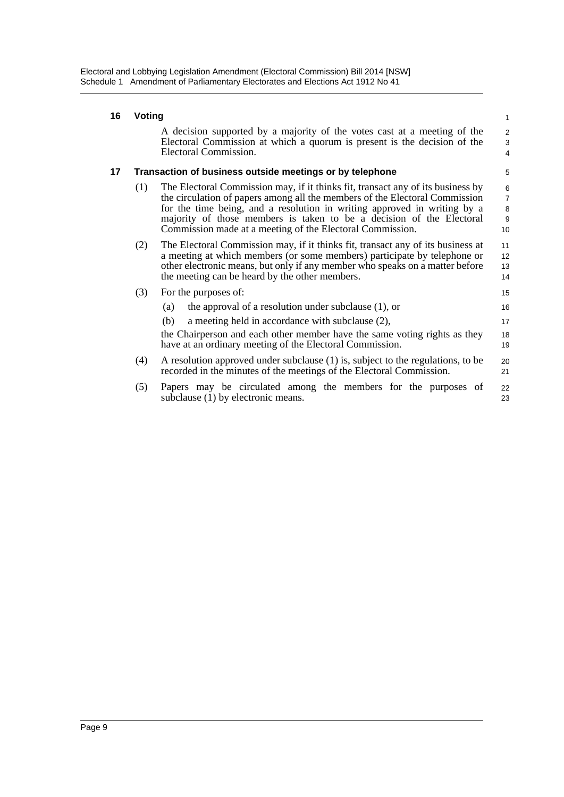### **16 Voting**

A decision supported by a majority of the votes cast at a meeting of the Electoral Commission at which a quorum is present is the decision of the Electoral Commission.

15

17

### **17 Transaction of business outside meetings or by telephone**

- (1) The Electoral Commission may, if it thinks fit, transact any of its business by the circulation of papers among all the members of the Electoral Commission for the time being, and a resolution in writing approved in writing by a majority of those members is taken to be a decision of the Electoral Commission made at a meeting of the Electoral Commission. 10
- (2) The Electoral Commission may, if it thinks fit, transact any of its business at a meeting at which members (or some members) participate by telephone or other electronic means, but only if any member who speaks on a matter before the meeting can be heard by the other members. 11 12 13 14
- (3) For the purposes of:
	- (a) the approval of a resolution under subclause (1), or 16
	- (b) a meeting held in accordance with subclause (2),

the Chairperson and each other member have the same voting rights as they have at an ordinary meeting of the Electoral Commission. 18 19

- (4) A resolution approved under subclause (1) is, subject to the regulations, to be recorded in the minutes of the meetings of the Electoral Commission. 20 21
- (5) Papers may be circulated among the members for the purposes of subclause (1) by electronic means. 22 23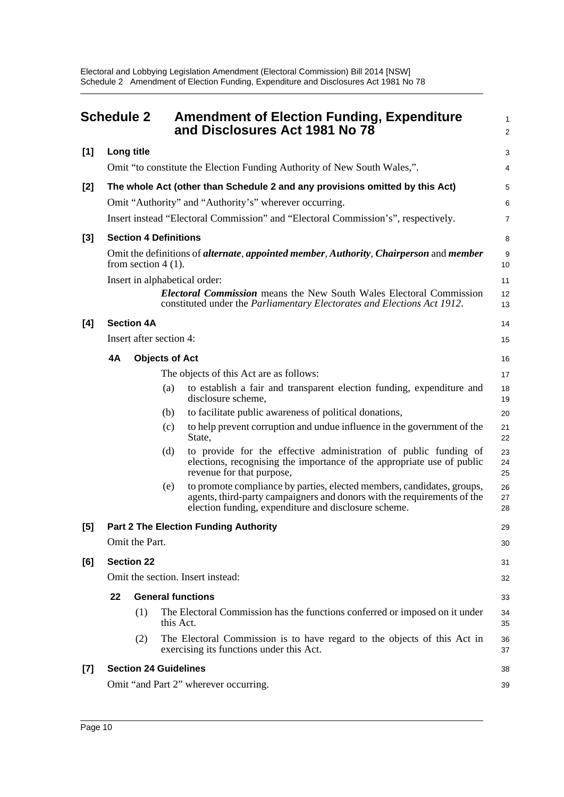<span id="page-14-0"></span>

|       |    | <b>Schedule 2</b>            |           | <b>Amendment of Election Funding, Expenditure</b><br>and Disclosures Act 1981 No 78                                                                                                                       | $\mathbf{1}$<br>$\overline{2}$ |
|-------|----|------------------------------|-----------|-----------------------------------------------------------------------------------------------------------------------------------------------------------------------------------------------------------|--------------------------------|
| $[1]$ |    | Long title                   |           |                                                                                                                                                                                                           | 3                              |
|       |    |                              |           | Omit "to constitute the Election Funding Authority of New South Wales,".                                                                                                                                  | 4                              |
| $[2]$ |    |                              |           | The whole Act (other than Schedule 2 and any provisions omitted by this Act)                                                                                                                              | 5                              |
|       |    |                              |           | Omit "Authority" and "Authority's" wherever occurring.                                                                                                                                                    | 6                              |
|       |    |                              |           | Insert instead "Electoral Commission" and "Electoral Commission's", respectively.                                                                                                                         | $\overline{7}$                 |
| $[3]$ |    | <b>Section 4 Definitions</b> |           |                                                                                                                                                                                                           | 8                              |
|       |    | from section $4(1)$ .        |           | Omit the definitions of <i>alternate</i> , <i>appointed member</i> , <i>Authority</i> , <i>Chairperson</i> and <i>member</i>                                                                              | $9\,$<br>10                    |
|       |    |                              |           | Insert in alphabetical order:                                                                                                                                                                             | 11                             |
|       |    |                              |           | <b>Electoral Commission</b> means the New South Wales Electoral Commission<br>constituted under the Parliamentary Electorates and Elections Act 1912.                                                     | 12<br>13                       |
| [4]   |    | <b>Section 4A</b>            |           |                                                                                                                                                                                                           | 14                             |
|       |    | Insert after section 4:      |           |                                                                                                                                                                                                           | 15                             |
|       | 4A | <b>Objects of Act</b>        |           |                                                                                                                                                                                                           | 16                             |
|       |    |                              |           | The objects of this Act are as follows:                                                                                                                                                                   | 17                             |
|       |    |                              | (a)       | to establish a fair and transparent election funding, expenditure and<br>disclosure scheme,                                                                                                               | 18<br>19                       |
|       |    |                              | (b)       | to facilitate public awareness of political donations,                                                                                                                                                    | 20                             |
|       |    |                              | (c)       | to help prevent corruption and undue influence in the government of the<br>State,                                                                                                                         | 21<br>22                       |
|       |    |                              | (d)       | to provide for the effective administration of public funding of<br>elections, recognising the importance of the appropriate use of public<br>revenue for that purpose,                                   | 23<br>24<br>25                 |
|       |    |                              | (e)       | to promote compliance by parties, elected members, candidates, groups,<br>agents, third-party campaigners and donors with the requirements of the<br>election funding, expenditure and disclosure scheme. | 26<br>27<br>28                 |
| [5]   |    |                              |           | <b>Part 2 The Election Funding Authority</b>                                                                                                                                                              | 29                             |
|       |    | Omit the Part.               |           |                                                                                                                                                                                                           | 30                             |
| [6]   |    | <b>Section 22</b>            |           |                                                                                                                                                                                                           | 31                             |
|       |    |                              |           | Omit the section. Insert instead:                                                                                                                                                                         | 32                             |
|       | 22 |                              |           | <b>General functions</b>                                                                                                                                                                                  | 33                             |
|       |    | (1)                          | this Act. | The Electoral Commission has the functions conferred or imposed on it under                                                                                                                               | 34<br>35                       |
|       |    | (2)                          |           | The Electoral Commission is to have regard to the objects of this Act in<br>exercising its functions under this Act.                                                                                      | 36<br>37                       |
| $[7]$ |    | <b>Section 24 Guidelines</b> |           |                                                                                                                                                                                                           | 38                             |
|       |    |                              |           | Omit "and Part 2" wherever occurring.                                                                                                                                                                     | 39                             |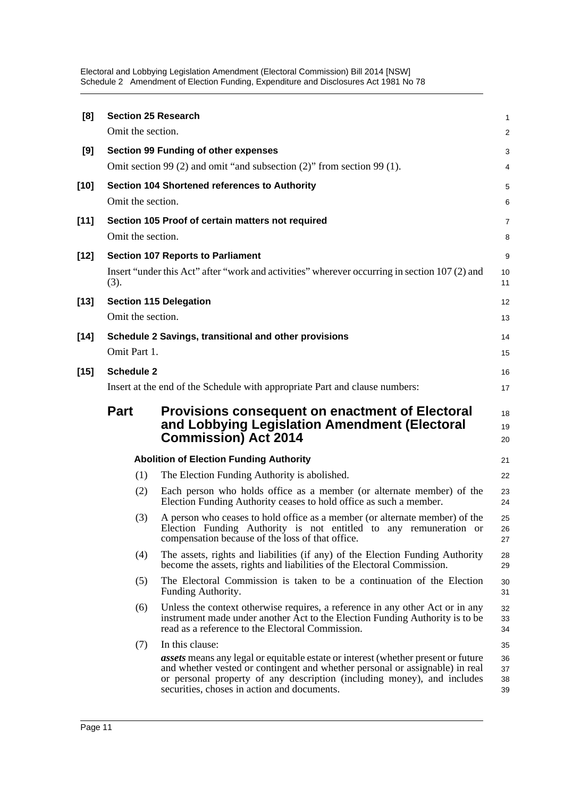Electoral and Lobbying Legislation Amendment (Electoral Commission) Bill 2014 [NSW] Schedule 2 Amendment of Election Funding, Expenditure and Disclosures Act 1981 No 78

| [8]    | <b>Section 25 Research</b> |                                                                                                                                                                                                                                                                                                    | 1                    |
|--------|----------------------------|----------------------------------------------------------------------------------------------------------------------------------------------------------------------------------------------------------------------------------------------------------------------------------------------------|----------------------|
|        | Omit the section.          |                                                                                                                                                                                                                                                                                                    | 2                    |
| [9]    |                            | <b>Section 99 Funding of other expenses</b>                                                                                                                                                                                                                                                        | 3                    |
|        |                            | Omit section 99 (2) and omit "and subsection (2)" from section 99 (1).                                                                                                                                                                                                                             | 4                    |
| $[10]$ | Omit the section.          | <b>Section 104 Shortened references to Authority</b>                                                                                                                                                                                                                                               | 5<br>6               |
| $[11]$ |                            | Section 105 Proof of certain matters not required                                                                                                                                                                                                                                                  | 7                    |
|        | Omit the section.          |                                                                                                                                                                                                                                                                                                    | 8                    |
| $[12]$ |                            | <b>Section 107 Reports to Parliament</b>                                                                                                                                                                                                                                                           | 9                    |
|        | (3).                       | Insert "under this Act" after "work and activities" wherever occurring in section 107 (2) and                                                                                                                                                                                                      | 10<br>11             |
| $[13]$ |                            | <b>Section 115 Delegation</b>                                                                                                                                                                                                                                                                      | 12                   |
|        | Omit the section.          |                                                                                                                                                                                                                                                                                                    | 13                   |
| $[14]$ |                            | Schedule 2 Savings, transitional and other provisions                                                                                                                                                                                                                                              | 14                   |
|        | Omit Part 1.               |                                                                                                                                                                                                                                                                                                    | 15                   |
| $[15]$ | <b>Schedule 2</b>          |                                                                                                                                                                                                                                                                                                    | 16                   |
|        |                            | Insert at the end of the Schedule with appropriate Part and clause numbers:                                                                                                                                                                                                                        | 17                   |
|        | <b>Part</b>                | <b>Provisions consequent on enactment of Electoral</b><br>and Lobbying Legislation Amendment (Electoral<br><b>Commission) Act 2014</b>                                                                                                                                                             | 18<br>19<br>20       |
|        |                            | <b>Abolition of Election Funding Authority</b>                                                                                                                                                                                                                                                     | 21                   |
|        | (1)                        | The Election Funding Authority is abolished.                                                                                                                                                                                                                                                       | 22                   |
|        | (2)                        | Each person who holds office as a member (or alternate member) of the<br>Election Funding Authority ceases to hold office as such a member.                                                                                                                                                        | 23<br>24             |
|        | (3)                        | A person who ceases to hold office as a member (or alternate member) of the<br>Election Funding Authority is not entitled to any remuneration or<br>compensation because of the loss of that office.                                                                                               | 25<br>26<br>27       |
|        | (4)                        | The assets, rights and liabilities (if any) of the Election Funding Authority<br>become the assets, rights and liabilities of the Electoral Commission.                                                                                                                                            | 28<br>29             |
|        | (5)                        | The Electoral Commission is taken to be a continuation of the Election<br>Funding Authority.                                                                                                                                                                                                       | 30<br>31             |
|        | (6)                        | Unless the context otherwise requires, a reference in any other Act or in any<br>instrument made under another Act to the Election Funding Authority is to be<br>read as a reference to the Electoral Commission.                                                                                  | 32<br>33<br>34       |
|        | (7)                        | In this clause:                                                                                                                                                                                                                                                                                    | 35                   |
|        |                            | <b>assets</b> means any legal or equitable estate or interest (whether present or future<br>and whether vested or contingent and whether personal or assignable) in real<br>or personal property of any description (including money), and includes<br>securities, choses in action and documents. | 36<br>37<br>38<br>39 |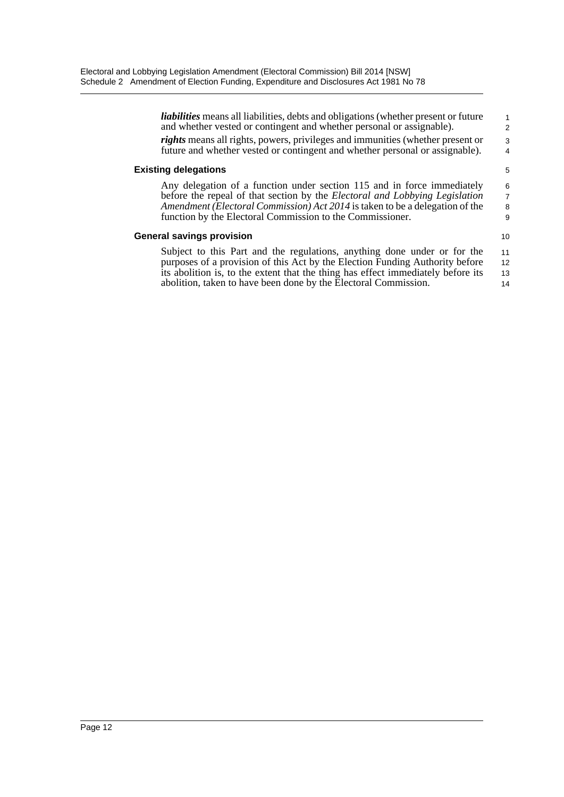| <i>liabilities</i> means all liabilities, debts and obligations (whether present or future<br>and whether vested or contingent and whether personal or assignable).                                                                                                                                               | $\mathbf{1}$<br>$\mathfrak{p}$ |
|-------------------------------------------------------------------------------------------------------------------------------------------------------------------------------------------------------------------------------------------------------------------------------------------------------------------|--------------------------------|
| rights means all rights, powers, privileges and immunities (whether present or<br>future and whether vested or contingent and whether personal or assignable).                                                                                                                                                    | 3<br>$\overline{4}$            |
| <b>Existing delegations</b>                                                                                                                                                                                                                                                                                       | 5                              |
| Any delegation of a function under section 115 and in force immediately<br>before the repeal of that section by the <i>Electoral and Lobbying Legislation</i><br><i>Amendment (Electoral Commission) Act 2014</i> is taken to be a delegation of the<br>function by the Electoral Commission to the Commissioner. | 6<br>$\overline{7}$<br>8<br>9  |
| <b>General savings provision</b>                                                                                                                                                                                                                                                                                  | 10 <sup>1</sup>                |
| Subject to this Part and the regulations, anything done under or for the<br>purposes of a provision of this Act by the Election Funding Authority before                                                                                                                                                          | 11<br>12                       |
| its abolition is, to the extent that the thing has effect immediately before its<br>abolition, taken to have been done by the Electoral Commission.                                                                                                                                                               | 13<br>14                       |
|                                                                                                                                                                                                                                                                                                                   |                                |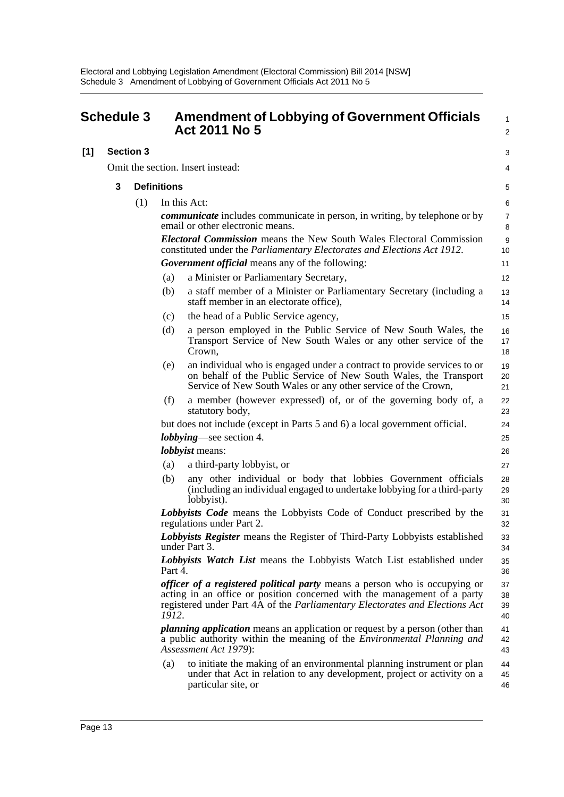<span id="page-17-0"></span>

| <b>Schedule 3</b> |                  |     | <b>Amendment of Lobbying of Government Officials</b><br><b>Act 2011 No 5</b> |                                                                                                                                                                                                                                              | 1<br>$\overline{c}$  |
|-------------------|------------------|-----|------------------------------------------------------------------------------|----------------------------------------------------------------------------------------------------------------------------------------------------------------------------------------------------------------------------------------------|----------------------|
| [1]               | <b>Section 3</b> |     |                                                                              |                                                                                                                                                                                                                                              | 3                    |
|                   |                  |     |                                                                              | Omit the section. Insert instead:                                                                                                                                                                                                            | 4                    |
|                   | 3                |     | <b>Definitions</b>                                                           |                                                                                                                                                                                                                                              |                      |
|                   |                  |     |                                                                              |                                                                                                                                                                                                                                              | 5                    |
|                   |                  | (1) |                                                                              | In this Act:                                                                                                                                                                                                                                 | 6                    |
|                   |                  |     |                                                                              | <i>communicate</i> includes communicate in person, in writing, by telephone or by<br>email or other electronic means.                                                                                                                        | $\overline{7}$<br>8  |
|                   |                  |     |                                                                              | <b>Electoral Commission</b> means the New South Wales Electoral Commission<br>constituted under the <i>Parliamentary Electorates and Elections Act 1912</i> .                                                                                | 9<br>10              |
|                   |                  |     |                                                                              | <b>Government official</b> means any of the following:                                                                                                                                                                                       | 11                   |
|                   |                  |     | (a)                                                                          | a Minister or Parliamentary Secretary,                                                                                                                                                                                                       | 12                   |
|                   |                  |     | (b)                                                                          | a staff member of a Minister or Parliamentary Secretary (including a<br>staff member in an electorate office),                                                                                                                               | 13<br>14             |
|                   |                  |     | (c)                                                                          | the head of a Public Service agency,                                                                                                                                                                                                         | 15                   |
|                   |                  |     | (d)                                                                          | a person employed in the Public Service of New South Wales, the<br>Transport Service of New South Wales or any other service of the<br>Crown,                                                                                                | 16<br>17<br>18       |
|                   |                  |     | (e)                                                                          | an individual who is engaged under a contract to provide services to or<br>on behalf of the Public Service of New South Wales, the Transport<br>Service of New South Wales or any other service of the Crown,                                | 19<br>20<br>21       |
|                   |                  |     | (f)                                                                          | a member (however expressed) of, or of the governing body of, a<br>statutory body,                                                                                                                                                           | 22<br>23             |
|                   |                  |     |                                                                              | but does not include (except in Parts 5 and 6) a local government official.                                                                                                                                                                  | 24                   |
|                   |                  |     |                                                                              | <i>lobbying</i> —see section 4.                                                                                                                                                                                                              | 25                   |
|                   |                  |     |                                                                              | <i>lobbyist</i> means:                                                                                                                                                                                                                       | 26                   |
|                   |                  |     | (a)                                                                          | a third-party lobbyist, or                                                                                                                                                                                                                   | 27                   |
|                   |                  |     | (b)                                                                          | any other individual or body that lobbies Government officials<br>(including an individual engaged to undertake lobbying for a third-party<br>lobbyist).                                                                                     | 28<br>29<br>30       |
|                   |                  |     |                                                                              | Lobbyists Code means the Lobbyists Code of Conduct prescribed by the<br>regulations under Part 2.                                                                                                                                            | 31<br>32             |
|                   |                  |     |                                                                              | Lobbyists Register means the Register of Third-Party Lobbyists established<br>under Part 3.                                                                                                                                                  | 33<br>34             |
|                   |                  |     | Part 4.                                                                      | Lobbyists Watch List means the Lobbyists Watch List established under                                                                                                                                                                        | 35<br>36             |
|                   |                  |     | 1912.                                                                        | <i>officer of a registered political party</i> means a person who is occupying or<br>acting in an office or position concerned with the management of a party<br>registered under Part 4A of the Parliamentary Electorates and Elections Act | 37<br>38<br>39<br>40 |
|                   |                  |     |                                                                              | <i>planning application</i> means an application or request by a person (other than<br>a public authority within the meaning of the <i>Environmental Planning and</i><br>Assessment Act 1979):                                               | 41<br>42<br>43       |
|                   |                  |     | (a)                                                                          | to initiate the making of an environmental planning instrument or plan<br>under that Act in relation to any development, project or activity on a<br>particular site, or                                                                     | 44<br>45<br>46       |
|                   |                  |     |                                                                              |                                                                                                                                                                                                                                              |                      |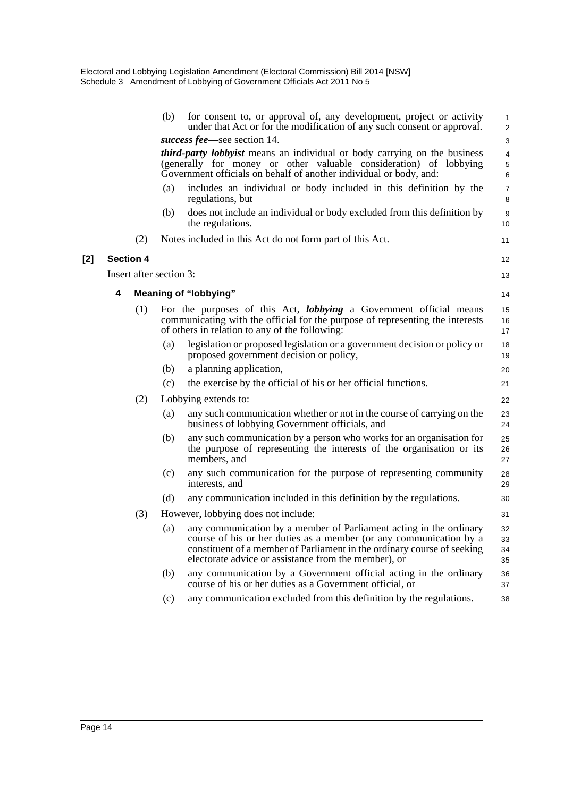|       |                  |                         | (b) | for consent to, or approval of, any development, project or activity<br>under that Act or for the modification of any such consent or approval.                                                                                                                             | 1<br>$\overline{\mathbf{c}}$ |
|-------|------------------|-------------------------|-----|-----------------------------------------------------------------------------------------------------------------------------------------------------------------------------------------------------------------------------------------------------------------------------|------------------------------|
|       |                  |                         |     | success fee—see section 14.                                                                                                                                                                                                                                                 | 3                            |
|       |                  |                         |     | <i>third-party lobbyist</i> means an individual or body carrying on the business<br>(generally for money or other valuable consideration) of lobbying<br>Government officials on behalf of another individual or body, and:                                                 | 4<br>5<br>6                  |
|       |                  |                         | (a) | includes an individual or body included in this definition by the<br>regulations, but                                                                                                                                                                                       | $\overline{7}$<br>8          |
|       |                  |                         | (b) | does not include an individual or body excluded from this definition by<br>the regulations.                                                                                                                                                                                 | 9<br>10                      |
|       |                  | (2)                     |     | Notes included in this Act do not form part of this Act.                                                                                                                                                                                                                    | 11                           |
| $[2]$ | <b>Section 4</b> |                         |     |                                                                                                                                                                                                                                                                             | 12                           |
|       |                  | Insert after section 3: |     |                                                                                                                                                                                                                                                                             | 13                           |
|       | 4                |                         |     | <b>Meaning of "lobbying"</b>                                                                                                                                                                                                                                                | 14                           |
|       |                  | (1)                     |     | For the purposes of this Act, <i>lobbying</i> a Government official means<br>communicating with the official for the purpose of representing the interests<br>of others in relation to any of the following:                                                                | 15<br>16<br>17               |
|       |                  |                         | (a) | legislation or proposed legislation or a government decision or policy or<br>proposed government decision or policy,                                                                                                                                                        | 18<br>19                     |
|       |                  |                         | (b) | a planning application,                                                                                                                                                                                                                                                     | 20                           |
|       |                  |                         | (c) | the exercise by the official of his or her official functions.                                                                                                                                                                                                              | 21                           |
|       |                  | (2)                     |     | Lobbying extends to:                                                                                                                                                                                                                                                        | 22                           |
|       |                  |                         | (a) | any such communication whether or not in the course of carrying on the<br>business of lobbying Government officials, and                                                                                                                                                    | 23<br>24                     |
|       |                  |                         | (b) | any such communication by a person who works for an organisation for<br>the purpose of representing the interests of the organisation or its<br>members, and                                                                                                                | 25<br>26<br>27               |
|       |                  |                         | (c) | any such communication for the purpose of representing community<br>interests, and                                                                                                                                                                                          | 28<br>29                     |
|       |                  |                         | (d) | any communication included in this definition by the regulations.                                                                                                                                                                                                           | 30                           |
|       |                  | (3)                     |     | However, lobbying does not include:                                                                                                                                                                                                                                         | 31                           |
|       |                  |                         | (a) | any communication by a member of Parliament acting in the ordinary<br>course of his or her duties as a member (or any communication by a<br>constituent of a member of Parliament in the ordinary course of seeking<br>electorate advice or assistance from the member), or | 32<br>33<br>34<br>35         |
|       |                  |                         | (b) | any communication by a Government official acting in the ordinary<br>course of his or her duties as a Government official, or                                                                                                                                               | 36<br>37                     |
|       |                  |                         | (c) | any communication excluded from this definition by the regulations.                                                                                                                                                                                                         | 38                           |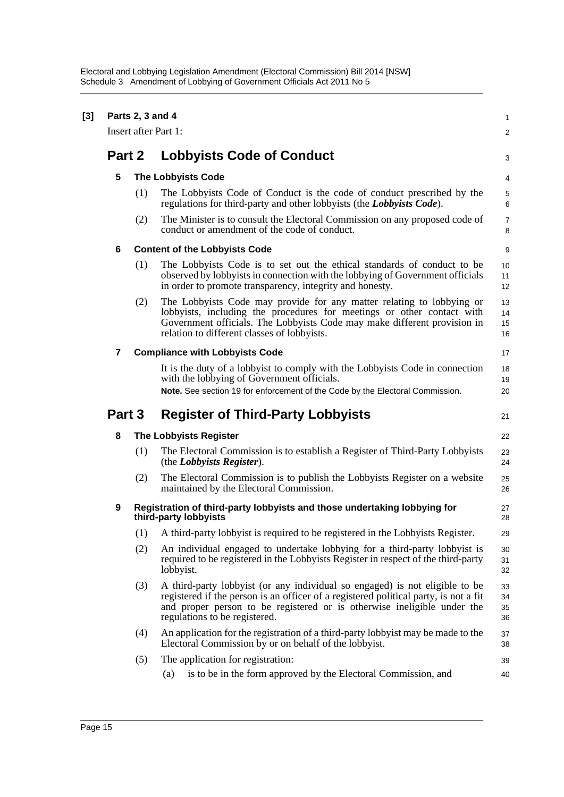| $[3]$ | Parts 2, 3 and 4<br>Insert after Part 1: |     |                                                                                                                                                                                                                                                                                  |                      |  |  |
|-------|------------------------------------------|-----|----------------------------------------------------------------------------------------------------------------------------------------------------------------------------------------------------------------------------------------------------------------------------------|----------------------|--|--|
|       |                                          |     |                                                                                                                                                                                                                                                                                  |                      |  |  |
|       | Part 2                                   |     | <b>Lobbyists Code of Conduct</b>                                                                                                                                                                                                                                                 | 3                    |  |  |
|       | 5                                        |     | <b>The Lobbyists Code</b>                                                                                                                                                                                                                                                        |                      |  |  |
|       |                                          | (1) | The Lobbyists Code of Conduct is the code of conduct prescribed by the<br>regulations for third-party and other lobbyists (the Lobbyists Code).                                                                                                                                  | 5<br>6               |  |  |
|       |                                          | (2) | The Minister is to consult the Electoral Commission on any proposed code of<br>conduct or amendment of the code of conduct.                                                                                                                                                      | 7<br>8               |  |  |
|       | 6                                        |     | <b>Content of the Lobbyists Code</b>                                                                                                                                                                                                                                             | 9                    |  |  |
|       |                                          | (1) | The Lobbyists Code is to set out the ethical standards of conduct to be<br>observed by lobbyists in connection with the lobbying of Government officials<br>in order to promote transparency, integrity and honesty.                                                             | 10<br>11<br>12       |  |  |
|       |                                          | (2) | The Lobbyists Code may provide for any matter relating to lobbying or<br>lobbyists, including the procedures for meetings or other contact with<br>Government officials. The Lobbyists Code may make different provision in<br>relation to different classes of lobbyists.       | 13<br>14<br>15<br>16 |  |  |
|       | 7                                        |     | <b>Compliance with Lobbyists Code</b>                                                                                                                                                                                                                                            | 17                   |  |  |
|       |                                          |     | It is the duty of a lobbyist to comply with the Lobbyists Code in connection<br>with the lobbying of Government officials.<br>Note. See section 19 for enforcement of the Code by the Electoral Commission.                                                                      | 18<br>19<br>20       |  |  |
|       | Part 3                                   |     | <b>Register of Third-Party Lobbyists</b>                                                                                                                                                                                                                                         | 21                   |  |  |
|       | 8                                        |     | <b>The Lobbyists Register</b>                                                                                                                                                                                                                                                    | 22                   |  |  |
|       |                                          | (1) | The Electoral Commission is to establish a Register of Third-Party Lobbyists<br>(the Lobbyists Register).                                                                                                                                                                        | 23<br>24             |  |  |
|       |                                          | (2) | The Electoral Commission is to publish the Lobbyists Register on a website<br>maintained by the Electoral Commission.                                                                                                                                                            | 25<br>26             |  |  |
|       | 9                                        |     | Registration of third-party lobbyists and those undertaking lobbying for<br>third-party lobbyists                                                                                                                                                                                | 27<br>28             |  |  |
|       |                                          |     | (1) A third-party lobby is required to be registered in the Lobby is ts Register.                                                                                                                                                                                                | 29                   |  |  |
|       |                                          | (2) | An individual engaged to undertake lobbying for a third-party lobbyist is<br>required to be registered in the Lobbyists Register in respect of the third-party<br>lobbyist.                                                                                                      | 30<br>31<br>32       |  |  |
|       |                                          | (3) | A third-party lobby ist (or any individual so engaged) is not eligible to be<br>registered if the person is an officer of a registered political party, is not a fit<br>and proper person to be registered or is otherwise ineligible under the<br>regulations to be registered. | 33<br>34<br>35<br>36 |  |  |
|       |                                          | (4) | An application for the registration of a third-party lobbyist may be made to the<br>Electoral Commission by or on behalf of the lobbyist.                                                                                                                                        | 37<br>38             |  |  |
|       |                                          | (5) | The application for registration:                                                                                                                                                                                                                                                | 39                   |  |  |
|       |                                          |     | (a)<br>is to be in the form approved by the Electoral Commission, and                                                                                                                                                                                                            | 40                   |  |  |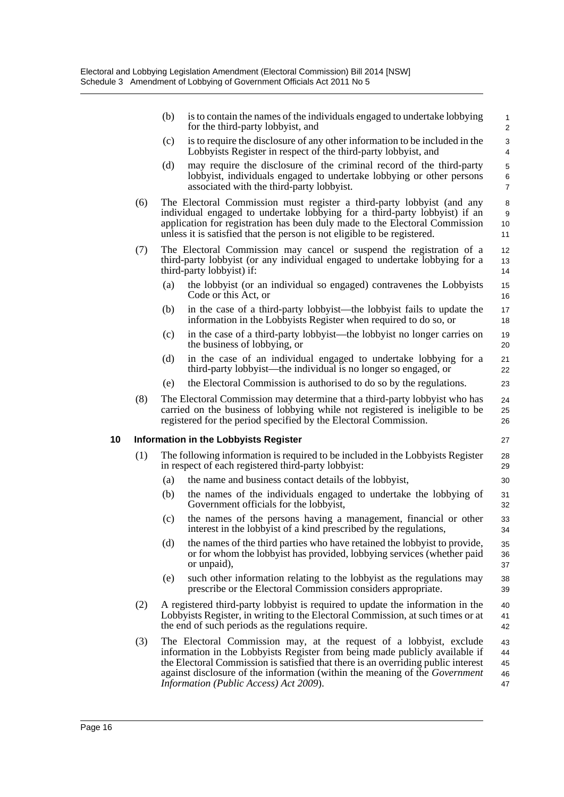|    |     | (b) | is to contain the names of the individuals engaged to undertake lobbying<br>for the third-party lobbyist, and                                                                                                                                                                                                                                                    | $\mathbf{1}$<br>$\overline{2}$     |
|----|-----|-----|------------------------------------------------------------------------------------------------------------------------------------------------------------------------------------------------------------------------------------------------------------------------------------------------------------------------------------------------------------------|------------------------------------|
|    |     | (c) | is to require the disclosure of any other information to be included in the<br>Lobbyists Register in respect of the third-party lobbyist, and                                                                                                                                                                                                                    | 3<br>4                             |
|    |     | (d) | may require the disclosure of the criminal record of the third-party<br>lobbyist, individuals engaged to undertake lobbying or other persons<br>associated with the third-party lobbyist.                                                                                                                                                                        | $\mathbf 5$<br>6<br>$\overline{7}$ |
|    | (6) |     | The Electoral Commission must register a third-party lobby ist (and any<br>individual engaged to undertake lobbying for a third-party lobbyist) if an<br>application for registration has been duly made to the Electoral Commission<br>unless it is satisfied that the person is not eligible to be registered.                                                 | 8<br>9<br>10<br>11                 |
|    | (7) |     | The Electoral Commission may cancel or suspend the registration of a<br>third-party lobbyist (or any individual engaged to undertake lobbying for a<br>third-party lobbyist) if:                                                                                                                                                                                 | 12<br>13<br>14                     |
|    |     | (a) | the lobbyist (or an individual so engaged) contravenes the Lobbyists<br>Code or this Act, or                                                                                                                                                                                                                                                                     | 15<br>16                           |
|    |     | (b) | in the case of a third-party lobbyist—the lobbyist fails to update the<br>information in the Lobbyists Register when required to do so, or                                                                                                                                                                                                                       | 17<br>18                           |
|    |     | (c) | in the case of a third-party lobby ist—the lobby ist no longer carries on<br>the business of lobbying, or                                                                                                                                                                                                                                                        | 19<br>20                           |
|    |     | (d) | in the case of an individual engaged to undertake lobbying for a<br>third-party lobbyist—the individual is no longer so engaged, or                                                                                                                                                                                                                              | 21<br>22                           |
|    |     | (e) | the Electoral Commission is authorised to do so by the regulations.                                                                                                                                                                                                                                                                                              | 23                                 |
|    | (8) |     | The Electoral Commission may determine that a third-party lobby ist who has<br>carried on the business of lobbying while not registered is ineligible to be<br>registered for the period specified by the Electoral Commission.                                                                                                                                  | 24<br>25<br>26                     |
| 10 |     |     | <b>Information in the Lobbyists Register</b>                                                                                                                                                                                                                                                                                                                     | 27                                 |
|    | (1) |     | The following information is required to be included in the Lobbyists Register<br>in respect of each registered third-party lobbyist:                                                                                                                                                                                                                            | 28<br>29                           |
|    |     | (a) | the name and business contact details of the lobbyist,                                                                                                                                                                                                                                                                                                           | 30                                 |
|    |     | (b) | the names of the individuals engaged to undertake the lobbying of<br>Government officials for the lobbyist,                                                                                                                                                                                                                                                      | 31<br>32                           |
|    |     | (c) | the names of the persons having a management, financial or other<br>interest in the lobbyist of a kind prescribed by the regulations,                                                                                                                                                                                                                            | 33<br>34                           |
|    |     | (d) | the names of the third parties who have retained the lobby ist to provide,<br>or for whom the lobby ist has provided, lobbying services (whether paid<br>or unpaid),                                                                                                                                                                                             | 35<br>36<br>37                     |
|    |     | (e) | such other information relating to the lobbyist as the regulations may<br>prescribe or the Electoral Commission considers appropriate.                                                                                                                                                                                                                           | 38<br>39                           |
|    | (2) |     | A registered third-party lobbyist is required to update the information in the<br>Lobbyists Register, in writing to the Electoral Commission, at such times or at<br>the end of such periods as the regulations require.                                                                                                                                         | 40<br>41<br>42                     |
|    | (3) |     | The Electoral Commission may, at the request of a lobbyist, exclude<br>information in the Lobbyists Register from being made publicly available if<br>the Electoral Commission is satisfied that there is an overriding public interest<br>against disclosure of the information (within the meaning of the Government<br>Information (Public Access) Act 2009). | 43<br>44<br>45<br>46<br>47         |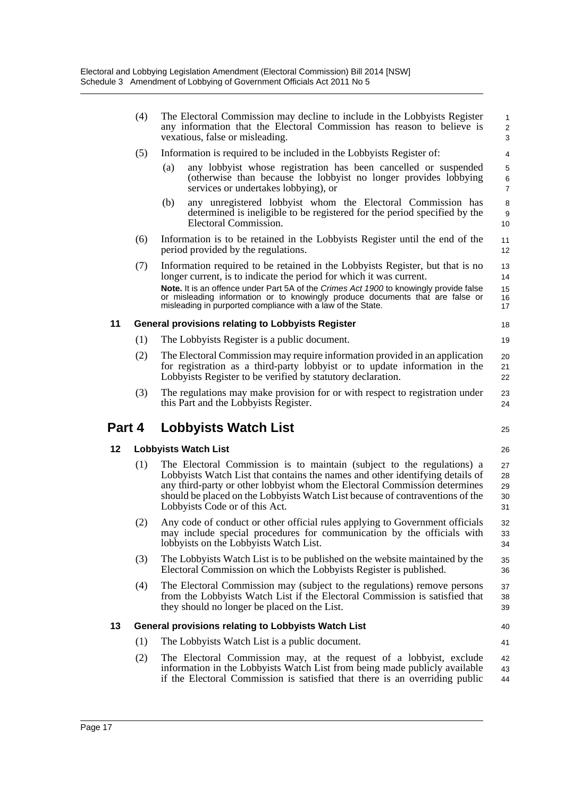|        | (4) | The Electoral Commission may decline to include in the Lobbyists Register<br>any information that the Electoral Commission has reason to believe is<br>vexatious, false or misleading.                                                                                                                                                                    | $\mathbf{1}$<br>$\overline{\mathbf{c}}$<br>3 |
|--------|-----|-----------------------------------------------------------------------------------------------------------------------------------------------------------------------------------------------------------------------------------------------------------------------------------------------------------------------------------------------------------|----------------------------------------------|
|        | (5) | Information is required to be included in the Lobbyists Register of:                                                                                                                                                                                                                                                                                      | 4                                            |
|        |     | any lobby ist whose registration has been cancelled or suspended<br>(a)<br>(otherwise than because the lobbyist no longer provides lobbying<br>services or undertakes lobbying), or                                                                                                                                                                       | 5<br>6<br>$\overline{7}$                     |
|        |     | any unregistered lobbyist whom the Electoral Commission has<br>(b)<br>determined is ineligible to be registered for the period specified by the<br>Electoral Commission.                                                                                                                                                                                  | 8<br>9<br>10                                 |
|        | (6) | Information is to be retained in the Lobbyists Register until the end of the<br>period provided by the regulations.                                                                                                                                                                                                                                       | 11<br>12                                     |
|        | (7) | Information required to be retained in the Lobbyists Register, but that is no<br>longer current, is to indicate the period for which it was current.<br>Note. It is an offence under Part 5A of the Crimes Act 1900 to knowingly provide false<br>or misleading information or to knowingly produce documents that are false or                           | 13<br>14<br>15<br>16                         |
|        |     | misleading in purported compliance with a law of the State.                                                                                                                                                                                                                                                                                               | 17                                           |
| 11     |     | <b>General provisions relating to Lobbyists Register</b>                                                                                                                                                                                                                                                                                                  | 18                                           |
|        | (1) | The Lobbyists Register is a public document.                                                                                                                                                                                                                                                                                                              | 19                                           |
|        | (2) | The Electoral Commission may require information provided in an application<br>for registration as a third-party lobbyist or to update information in the<br>Lobbyists Register to be verified by statutory declaration.                                                                                                                                  | 20<br>21<br>22                               |
|        | (3) | The regulations may make provision for or with respect to registration under<br>this Part and the Lobbyists Register.                                                                                                                                                                                                                                     | 23<br>24                                     |
|        |     |                                                                                                                                                                                                                                                                                                                                                           |                                              |
| Part 4 |     | <b>Lobbyists Watch List</b>                                                                                                                                                                                                                                                                                                                               | 25                                           |
| 12     |     | <b>Lobbyists Watch List</b>                                                                                                                                                                                                                                                                                                                               | 26                                           |
|        | (1) | The Electoral Commission is to maintain (subject to the regulations) a<br>Lobbyists Watch List that contains the names and other identifying details of<br>any third-party or other lobby ist whom the Electoral Commission determines<br>should be placed on the Lobbyists Watch List because of contraventions of the<br>Lobbyists Code or of this Act. | 27<br>28<br>29<br>30<br>31                   |
|        | (2) | Any code of conduct or other official rules applying to Government officials<br>may include special procedures for communication by the officials with<br>lobbyists on the Lobbyists Watch List.                                                                                                                                                          | 32<br>33<br>34                               |
|        | (3) | The Lobbyists Watch List is to be published on the website maintained by the<br>Electoral Commission on which the Lobbyists Register is published.                                                                                                                                                                                                        | 35<br>36                                     |
|        | (4) | The Electoral Commission may (subject to the regulations) remove persons<br>from the Lobbyists Watch List if the Electoral Commission is satisfied that<br>they should no longer be placed on the List.                                                                                                                                                   | 37<br>38<br>39                               |
| 13     |     | General provisions relating to Lobbyists Watch List                                                                                                                                                                                                                                                                                                       | 40                                           |
|        | (1) | The Lobbyists Watch List is a public document.                                                                                                                                                                                                                                                                                                            | 41                                           |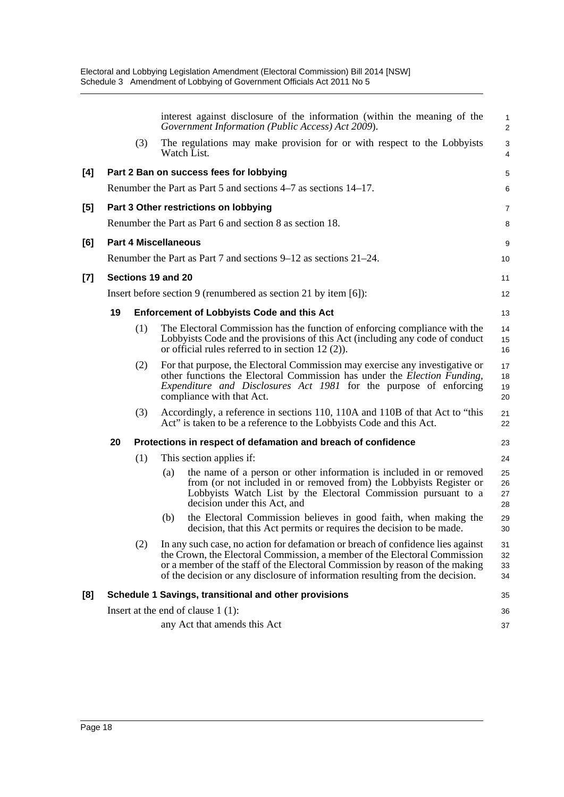|     |    |                             |     | interest against disclosure of the information (within the meaning of the<br>Government Information (Public Access) Act 2009).                                                                                                                                                                                                | $\mathbf{1}$<br>$\overline{2}$ |
|-----|----|-----------------------------|-----|-------------------------------------------------------------------------------------------------------------------------------------------------------------------------------------------------------------------------------------------------------------------------------------------------------------------------------|--------------------------------|
|     |    | (3)                         |     | The regulations may make provision for or with respect to the Lobbyists<br>Watch List.                                                                                                                                                                                                                                        | 3<br>$\overline{4}$            |
| [4] |    |                             |     | Part 2 Ban on success fees for lobbying                                                                                                                                                                                                                                                                                       | 5                              |
|     |    |                             |     | Renumber the Part as Part 5 and sections 4–7 as sections 14–17.                                                                                                                                                                                                                                                               | 6                              |
| [5] |    |                             |     | Part 3 Other restrictions on lobbying                                                                                                                                                                                                                                                                                         | 7                              |
|     |    |                             |     | Renumber the Part as Part 6 and section 8 as section 18.                                                                                                                                                                                                                                                                      | 8                              |
| [6] |    | <b>Part 4 Miscellaneous</b> |     |                                                                                                                                                                                                                                                                                                                               | 9                              |
|     |    |                             |     | Renumber the Part as Part 7 and sections 9–12 as sections 21–24.                                                                                                                                                                                                                                                              | 10                             |
| [7] |    | Sections 19 and 20          |     |                                                                                                                                                                                                                                                                                                                               | 11                             |
|     |    |                             |     | Insert before section 9 (renumbered as section 21 by item $[6]$ ):                                                                                                                                                                                                                                                            | 12                             |
|     | 19 |                             |     | <b>Enforcement of Lobbyists Code and this Act</b>                                                                                                                                                                                                                                                                             | 13                             |
|     |    | (1)                         |     | The Electoral Commission has the function of enforcing compliance with the<br>Lobbyists Code and the provisions of this Act (including any code of conduct<br>or official rules referred to in section $12(2)$ ).                                                                                                             | 14<br>15<br>16                 |
|     |    | (2)                         |     | For that purpose, the Electoral Commission may exercise any investigative or<br>other functions the Electoral Commission has under the <i>Election Funding</i> ,<br>Expenditure and Disclosures Act 1981 for the purpose of enforcing<br>compliance with that Act.                                                            | 17<br>18<br>19<br>20           |
|     |    | (3)                         |     | Accordingly, a reference in sections 110, 110A and 110B of that Act to "this<br>Act" is taken to be a reference to the Lobbyists Code and this Act.                                                                                                                                                                           | 21<br>22                       |
|     | 20 |                             |     | Protections in respect of defamation and breach of confidence                                                                                                                                                                                                                                                                 | 23                             |
|     |    | (1)                         |     | This section applies if:                                                                                                                                                                                                                                                                                                      | 24                             |
|     |    |                             | (a) | the name of a person or other information is included in or removed<br>from (or not included in or removed from) the Lobbyists Register or<br>Lobbyists Watch List by the Electoral Commission pursuant to a<br>decision under this Act, and                                                                                  | 25<br>26<br>27<br>28           |
|     |    |                             | (b) | the Electoral Commission believes in good faith, when making the<br>decision, that this Act permits or requires the decision to be made.                                                                                                                                                                                      | 29<br>30                       |
|     |    | (2)                         |     | In any such case, no action for defamation or breach of confidence lies against<br>the Crown, the Electoral Commission, a member of the Electoral Commission<br>or a member of the staff of the Electoral Commission by reason of the making<br>of the decision or any disclosure of information resulting from the decision. | 31<br>32<br>33<br>34           |
| [8] |    |                             |     | Schedule 1 Savings, transitional and other provisions                                                                                                                                                                                                                                                                         | 35                             |
|     |    |                             |     | Insert at the end of clause $1(1)$ :                                                                                                                                                                                                                                                                                          | 36                             |
|     |    |                             |     | any Act that amends this Act                                                                                                                                                                                                                                                                                                  | 37                             |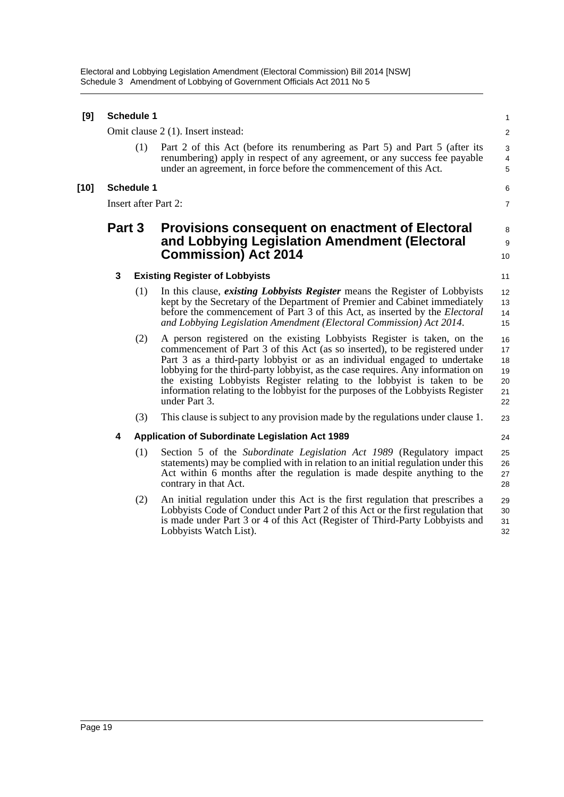Electoral and Lobbying Legislation Amendment (Electoral Commission) Bill 2014 [NSW] Schedule 3 Amendment of Lobbying of Government Officials Act 2011 No 5

| [9]    |        | <b>Schedule 1</b> |                                                                                                                                                                                                                                                                                                                                                                                                                                                                                                       | $\mathbf{1}$                           |
|--------|--------|-------------------|-------------------------------------------------------------------------------------------------------------------------------------------------------------------------------------------------------------------------------------------------------------------------------------------------------------------------------------------------------------------------------------------------------------------------------------------------------------------------------------------------------|----------------------------------------|
|        |        |                   | Omit clause 2 (1). Insert instead:                                                                                                                                                                                                                                                                                                                                                                                                                                                                    | 2                                      |
|        |        | (1)               | Part 2 of this Act (before its renumbering as Part 5) and Part 5 (after its<br>renumbering) apply in respect of any agreement, or any success fee payable<br>under an agreement, in force before the commencement of this Act.                                                                                                                                                                                                                                                                        | 3<br>$\overline{4}$<br>5               |
| $[10]$ |        | <b>Schedule 1</b> |                                                                                                                                                                                                                                                                                                                                                                                                                                                                                                       | 6                                      |
|        |        |                   | Insert after Part 2:                                                                                                                                                                                                                                                                                                                                                                                                                                                                                  | $\overline{7}$                         |
|        | Part 3 |                   | Provisions consequent on enactment of Electoral<br>and Lobbying Legislation Amendment (Electoral<br><b>Commission) Act 2014</b>                                                                                                                                                                                                                                                                                                                                                                       | 8<br>9<br>10                           |
|        | 3      |                   | <b>Existing Register of Lobbyists</b>                                                                                                                                                                                                                                                                                                                                                                                                                                                                 | 11                                     |
|        |        | (1)               | In this clause, existing Lobbyists Register means the Register of Lobbyists<br>kept by the Secretary of the Department of Premier and Cabinet immediately<br>before the commencement of Part 3 of this Act, as inserted by the <i>Electoral</i><br>and Lobbying Legislation Amendment (Electoral Commission) Act 2014.                                                                                                                                                                                | 12<br>13<br>14<br>15                   |
|        |        | (2)               | A person registered on the existing Lobbyists Register is taken, on the<br>commencement of Part 3 of this Act (as so inserted), to be registered under<br>Part 3 as a third-party lobbyist or as an individual engaged to undertake<br>lobbying for the third-party lobbyist, as the case requires. Any information on<br>the existing Lobbyists Register relating to the lobbyist is taken to be<br>information relating to the lobbyist for the purposes of the Lobbyists Register<br>under Part 3. | 16<br>17<br>18<br>19<br>20<br>21<br>22 |
|        |        | (3)               | This clause is subject to any provision made by the regulations under clause 1.                                                                                                                                                                                                                                                                                                                                                                                                                       | 23                                     |
|        | 4      |                   | <b>Application of Subordinate Legislation Act 1989</b>                                                                                                                                                                                                                                                                                                                                                                                                                                                | 24                                     |
|        |        | (1)               | Section 5 of the Subordinate Legislation Act 1989 (Regulatory impact<br>statements) may be complied with in relation to an initial regulation under this<br>Act within 6 months after the regulation is made despite anything to the<br>contrary in that Act.                                                                                                                                                                                                                                         | 25<br>26<br>27<br>28                   |
|        |        | (2)               | An initial regulation under this Act is the first regulation that prescribes a<br>Lobbyists Code of Conduct under Part 2 of this Act or the first regulation that<br>is made under Part 3 or 4 of this Act (Register of Third-Party Lobbyists and<br>Lobbyists Watch List).                                                                                                                                                                                                                           | 29<br>30<br>31<br>32                   |